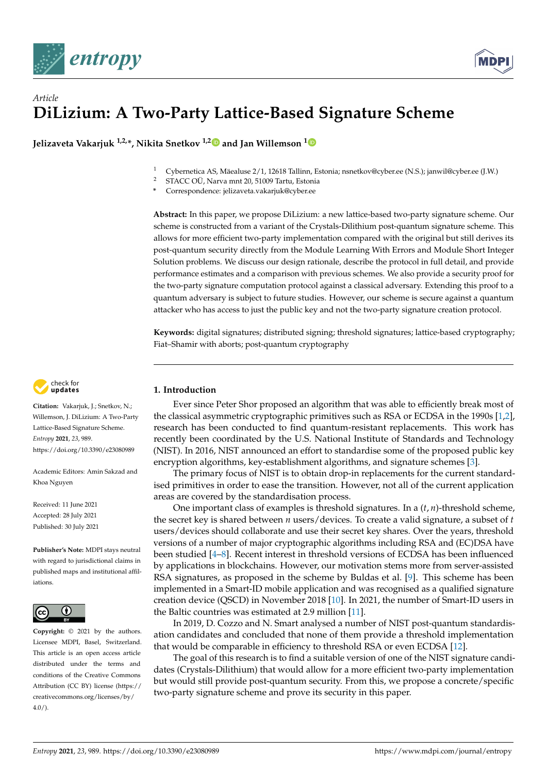



# *Article* **DiLizium: A Two-Party Lattice-Based Signature Scheme**

**Jelizaveta Vakarjuk 1,2,\*, Nikita Snetkov 1,[2](https://orcid.org/0000-0002-1414-2080) and Jan Willemson [1](https://orcid.org/0000-0002-6290-2099)**

- <sup>1</sup> Cybernetica AS, Mäealuse 2/1, 12618 Tallinn, Estonia; nsnetkov@cyber.ee (N.S.); janwil@cyber.ee (J.W.)
- <sup>2</sup> STACC OÜ, Narva mnt 20, 51009 Tartu, Estonia
- **\*** Correspondence: jelizaveta.vakarjuk@cyber.ee

**Abstract:** In this paper, we propose DiLizium: a new lattice-based two-party signature scheme. Our scheme is constructed from a variant of the Crystals-Dilithium post-quantum signature scheme. This allows for more efficient two-party implementation compared with the original but still derives its post-quantum security directly from the Module Learning With Errors and Module Short Integer Solution problems. We discuss our design rationale, describe the protocol in full detail, and provide performance estimates and a comparison with previous schemes. We also provide a security proof for the two-party signature computation protocol against a classical adversary. Extending this proof to a quantum adversary is subject to future studies. However, our scheme is secure against a quantum attacker who has access to just the public key and not the two-party signature creation protocol.

**Keywords:** digital signatures; distributed signing; threshold signatures; lattice-based cryptography; Fiat–Shamir with aborts; post-quantum cryptography



**Citation:** Vakarjuk, J.; Snetkov, N.; Willemson, J. DiLizium: A Two-Party Lattice-Based Signature Scheme. *Entropy* **2021**, *23*, 989. <https://doi.org/10.3390/e23080989>

Academic Editors: Amin Sakzad and Khoa Nguyen

Received: 11 June 2021 Accepted: 28 July 2021 Published: 30 July 2021

**Publisher's Note:** MDPI stays neutral with regard to jurisdictional claims in published maps and institutional affiliations.



**Copyright:** © 2021 by the authors. Licensee MDPI, Basel, Switzerland. This article is an open access article distributed under the terms and conditions of the Creative Commons Attribution (CC BY) license (https:[/](https://creativecommons.org/licenses/by/4.0/)/ [creativecommons.org/licenses/by/](https://creativecommons.org/licenses/by/4.0/)  $4.0/$ ).

# **1. Introduction**

Ever since Peter Shor proposed an algorithm that was able to efficiently break most of the classical asymmetric cryptographic primitives such as RSA or ECDSA in the 1990s [\[1](#page-27-0)[,2\]](#page-27-1), research has been conducted to find quantum-resistant replacements. This work has recently been coordinated by the U.S. National Institute of Standards and Technology (NIST). In 2016, NIST announced an effort to standardise some of the proposed public key encryption algorithms, key-establishment algorithms, and signature schemes [\[3\]](#page-27-2).

The primary focus of NIST is to obtain drop-in replacements for the current standardised primitives in order to ease the transition. However, not all of the current application areas are covered by the standardisation process.

One important class of examples is threshold signatures. In a (*t*, *n*)-threshold scheme, the secret key is shared between *n* users/devices. To create a valid signature, a subset of *t* users/devices should collaborate and use their secret key shares. Over the years, threshold versions of a number of major cryptographic algorithms including RSA and (EC)DSA have been studied [\[4](#page-27-3)[–8\]](#page-27-4). Recent interest in threshold versions of ECDSA has been influenced by applications in blockchains. However, our motivation stems more from server-assisted RSA signatures, as proposed in the scheme by Buldas et al. [\[9\]](#page-27-5). This scheme has been implemented in a Smart-ID mobile application and was recognised as a qualified signature creation device (QSCD) in November 2018 [\[10\]](#page-27-6). In 2021, the number of Smart-ID users in the Baltic countries was estimated at 2.9 million [\[11\]](#page-27-7).

In 2019, D. Cozzo and N. Smart analysed a number of NIST post-quantum standardisation candidates and concluded that none of them provide a threshold implementation that would be comparable in efficiency to threshold RSA or even ECDSA [\[12\]](#page-27-8).

The goal of this research is to find a suitable version of one of the NIST signature candidates (Crystals-Dilithium) that would allow for a more efficient two-party implementation but would still provide post-quantum security. From this, we propose a concrete/specific two-party signature scheme and prove its security in this paper.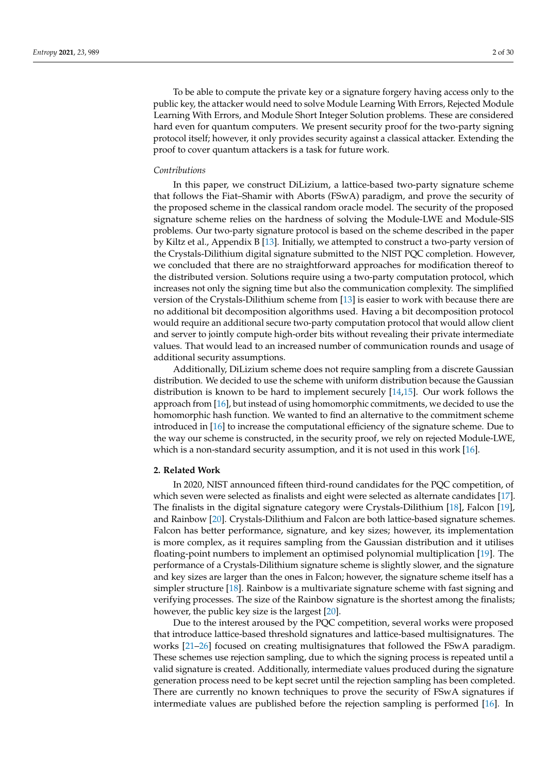To be able to compute the private key or a signature forgery having access only to the public key, the attacker would need to solve Module Learning With Errors, Rejected Module Learning With Errors, and Module Short Integer Solution problems. These are considered hard even for quantum computers. We present security proof for the two-party signing protocol itself; however, it only provides security against a classical attacker. Extending the proof to cover quantum attackers is a task for future work.

#### *Contributions*

In this paper, we construct DiLizium, a lattice-based two-party signature scheme that follows the Fiat–Shamir with Aborts (FSwA) paradigm, and prove the security of the proposed scheme in the classical random oracle model. The security of the proposed signature scheme relies on the hardness of solving the Module-LWE and Module-SIS problems. Our two-party signature protocol is based on the scheme described in the paper by Kiltz et al., Appendix B [\[13\]](#page-28-0). Initially, we attempted to construct a two-party version of the Crystals-Dilithium digital signature submitted to the NIST PQC completion. However, we concluded that there are no straightforward approaches for modification thereof to the distributed version. Solutions require using a two-party computation protocol, which increases not only the signing time but also the communication complexity. The simplified version of the Crystals-Dilithium scheme from [\[13\]](#page-28-0) is easier to work with because there are no additional bit decomposition algorithms used. Having a bit decomposition protocol would require an additional secure two-party computation protocol that would allow client and server to jointly compute high-order bits without revealing their private intermediate values. That would lead to an increased number of communication rounds and usage of additional security assumptions.

Additionally, DiLizium scheme does not require sampling from a discrete Gaussian distribution. We decided to use the scheme with uniform distribution because the Gaussian distribution is known to be hard to implement securely [\[14](#page-28-1)[,15\]](#page-28-2). Our work follows the approach from [\[16\]](#page-28-3), but instead of using homomorphic commitments, we decided to use the homomorphic hash function. We wanted to find an alternative to the commitment scheme introduced in [\[16\]](#page-28-3) to increase the computational efficiency of the signature scheme. Due to the way our scheme is constructed, in the security proof, we rely on rejected Module-LWE, which is a non-standard security assumption, and it is not used in this work [\[16\]](#page-28-3).

### **2. Related Work**

In 2020, NIST announced fifteen third-round candidates for the PQC competition, of which seven were selected as finalists and eight were selected as alternate candidates [\[17\]](#page-28-4). The finalists in the digital signature category were Crystals-Dilithium [\[18\]](#page-28-5), Falcon [\[19\]](#page-28-6), and Rainbow [\[20\]](#page-28-7). Crystals-Dilithium and Falcon are both lattice-based signature schemes. Falcon has better performance, signature, and key sizes; however, its implementation is more complex, as it requires sampling from the Gaussian distribution and it utilises floating-point numbers to implement an optimised polynomial multiplication [\[19\]](#page-28-6). The performance of a Crystals-Dilithium signature scheme is slightly slower, and the signature and key sizes are larger than the ones in Falcon; however, the signature scheme itself has a simpler structure [\[18\]](#page-28-5). Rainbow is a multivariate signature scheme with fast signing and verifying processes. The size of the Rainbow signature is the shortest among the finalists; however, the public key size is the largest [\[20\]](#page-28-7).

Due to the interest aroused by the PQC competition, several works were proposed that introduce lattice-based threshold signatures and lattice-based multisignatures. The works [\[21–](#page-28-8)[26\]](#page-28-9) focused on creating multisignatures that followed the FSwA paradigm. These schemes use rejection sampling, due to which the signing process is repeated until a valid signature is created. Additionally, intermediate values produced during the signature generation process need to be kept secret until the rejection sampling has been completed. There are currently no known techniques to prove the security of FSwA signatures if intermediate values are published before the rejection sampling is performed [\[16\]](#page-28-3). In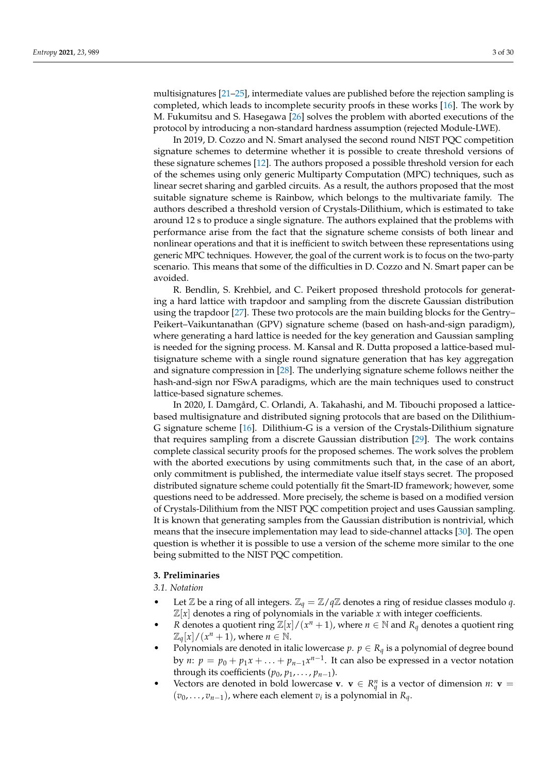multisignatures [\[21](#page-28-8)[–25\]](#page-28-10), intermediate values are published before the rejection sampling is completed, which leads to incomplete security proofs in these works [\[16\]](#page-28-3). The work by M. Fukumitsu and S. Hasegawa [\[26\]](#page-28-9) solves the problem with aborted executions of the protocol by introducing a non-standard hardness assumption (rejected Module-LWE).

In 2019, D. Cozzo and N. Smart analysed the second round NIST PQC competition signature schemes to determine whether it is possible to create threshold versions of these signature schemes [\[12\]](#page-27-8). The authors proposed a possible threshold version for each of the schemes using only generic Multiparty Computation (MPC) techniques, such as linear secret sharing and garbled circuits. As a result, the authors proposed that the most suitable signature scheme is Rainbow, which belongs to the multivariate family. The authors described a threshold version of Crystals-Dilithium, which is estimated to take around 12 s to produce a single signature. The authors explained that the problems with performance arise from the fact that the signature scheme consists of both linear and nonlinear operations and that it is inefficient to switch between these representations using generic MPC techniques. However, the goal of the current work is to focus on the two-party scenario. This means that some of the difficulties in D. Cozzo and N. Smart paper can be avoided.

R. Bendlin, S. Krehbiel, and C. Peikert proposed threshold protocols for generating a hard lattice with trapdoor and sampling from the discrete Gaussian distribution using the trapdoor [\[27\]](#page-28-11). These two protocols are the main building blocks for the Gentry– Peikert–Vaikuntanathan (GPV) signature scheme (based on hash-and-sign paradigm), where generating a hard lattice is needed for the key generation and Gaussian sampling is needed for the signing process. M. Kansal and R. Dutta proposed a lattice-based multisignature scheme with a single round signature generation that has key aggregation and signature compression in [\[28\]](#page-28-12). The underlying signature scheme follows neither the hash-and-sign nor FSwA paradigms, which are the main techniques used to construct lattice-based signature schemes.

In 2020, I. Damgård, C. Orlandi, A. Takahashi, and M. Tibouchi proposed a latticebased multisignature and distributed signing protocols that are based on the Dilithium-G signature scheme [\[16\]](#page-28-3). Dilithium-G is a version of the Crystals-Dilithium signature that requires sampling from a discrete Gaussian distribution [\[29\]](#page-28-13). The work contains complete classical security proofs for the proposed schemes. The work solves the problem with the aborted executions by using commitments such that, in the case of an abort, only commitment is published, the intermediate value itself stays secret. The proposed distributed signature scheme could potentially fit the Smart-ID framework; however, some questions need to be addressed. More precisely, the scheme is based on a modified version of Crystals-Dilithium from the NIST PQC competition project and uses Gaussian sampling. It is known that generating samples from the Gaussian distribution is nontrivial, which means that the insecure implementation may lead to side-channel attacks [\[30\]](#page-28-14). The open question is whether it is possible to use a version of the scheme more similar to the one being submitted to the NIST PQC competition.

## **3. Preliminaries**

*3.1. Notation*

- Let  $\mathbb Z$  be a ring of all integers.  $\mathbb Z_q = \mathbb Z/q\mathbb Z$  denotes a ring of residue classes modulo q.  $\mathbb{Z}[x]$  denotes a ring of polynomials in the variable *x* with integer coefficients.
- *R* denotes a quotient ring  $\mathbb{Z}[x]/(x^n + 1)$ , where  $n \in \mathbb{N}$  and  $R_q$  denotes a quotient ring  $\mathbb{Z}_q[x]/(x^n+1)$ , where  $n \in \mathbb{N}$ .
- Polynomials are denoted in italic lowercase  $p$ .  $p \in R_q$  is a polynomial of degree bound by *n*:  $p = p_0 + p_1x + \ldots + p_{n-1}x^{n-1}$ . It can also be expressed in a vector notation through its coefficients ( $p_0$ ,  $p_1$ , . . . ,  $p_{n-1}$ ).
- Vectors are denoted in bold lowercase **v**.  $\mathbf{v} \in R_q^n$  is a vector of dimension *n*:  $\mathbf{v} =$  $(v_0, \ldots, v_{n-1})$ , where each element  $v_i$  is a polynomial in  $R_q$ .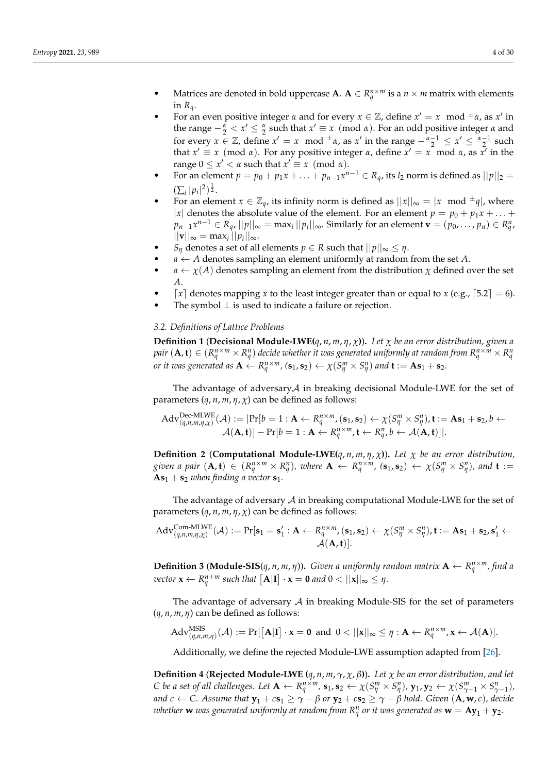- Matrices are denoted in bold uppercase **A**.  $A \in R_q^{n \times m}$  is a  $n \times m$  matrix with elements in  $R_q$ .
- For an even positive integer  $\alpha$  and for every  $x \in \mathbb{Z}$ , define  $x' = x \mod \pm \alpha$ , as  $x'$  in the range  $-\frac{\alpha}{2} < x' \leq \frac{\alpha}{2}$  such that  $x' \equiv x \pmod{\alpha}$ . For an odd positive integer  $\alpha$  and for every  $x \in \mathbb{Z}$ , define  $x' = x \mod \pm \alpha$ , as  $x'$  in the range  $-\frac{\alpha-1}{2} \le x' \le \frac{\alpha-1}{2}$  such that  $x' \equiv x \pmod{\alpha}$ . For any positive integer *α*, define  $x' = x \pmod{\alpha}$ , as  $\overline{x'}$  in the  $range 0 \leq x' < \alpha$  such that  $x' \equiv x \pmod{\alpha}$ .
- For an element  $p = p_0 + p_1x + \ldots + p_{n-1}x^{n-1} \in R_q$ , its  $l_2$  norm is defined as  $||p||_2 =$  $(\sum_i |p_i|^2)^{\frac{1}{2}}$ .
- For an element  $x \in \mathbb{Z}_q$ , its infinity norm is defined as  $||x||_{\infty} = |x \mod \frac{1}{q}|$ , where |*x*| denotes the absolute value of the element. For an element  $p = p_0 + p_1 x + \ldots$  $p_{n-1}x^{n-1} \in R_q$ ,  $||p||_{\infty} = \max_i ||p_i||_{\infty}$ . Similarly for an element  $\mathbf{v} = (p_0, \ldots, p_n) \in R^n_q$  $||\mathbf{v}||_{\infty} = \max_i ||p_i||_{\infty}.$
- *S*<sup>*n*</sup> denotes a set of all elements  $p \in R$  such that  $||p||_{\infty} \leq \eta$ .
- $a \leftarrow A$  denotes sampling an element uniformly at random from the set A.
- $a \leftarrow \chi(A)$  denotes sampling an element from the distribution  $\chi$  defined over the set *A*.
- $\lceil x \rceil$  denotes mapping *x* to the least integer greater than or equal to *x* (e.g.,  $\lceil 5.2 \rceil = 6$ ).
- The symbol  $\perp$  is used to indicate a failure or rejection.

# *3.2. Definitions of Lattice Problems*

**Definition 1** (**Decisional Module-LWE**( $q$ ,  $n$ ,  $m$ ,  $\eta$ ,  $\chi$ )). Let  $\chi$  be an error distribution, given a pair  $({\bf A},{\bf t})\in (R^{n\times m}_q \times R^n_q)$  decide whether it was generated uniformly at random from  $R^{n\times m}_q \times R^n_q$ or it was generated as  $\mathbf{A} \leftarrow R_q^{n \times m}$ ,  $(\mathbf{s}_1, \mathbf{s}_2) \leftarrow \chi(S_\eta^m \times S_\eta^n)$  and  $\mathbf{t} := \mathbf{A} \mathbf{s}_1 + \mathbf{s}_2$ .

The advantage of adversary $\mathcal A$  in breaking decisional Module-LWE for the set of parameters  $(q, n, m, \eta, \chi)$  can be defined as follows:

$$
Adv_{(q,n,m,\eta,\chi)}^{Dec-MLWE}(\mathcal{A}) := |Pr[b = 1 : A \leftarrow R_q^{n \times m}, (\mathbf{s}_1, \mathbf{s}_2) \leftarrow \chi(S_\eta^m \times S_\eta^n), \mathbf{t} := \mathbf{A}\mathbf{s}_1 + \mathbf{s}_2, b \leftarrow \mathcal{A}(\mathbf{A}, \mathbf{t})] - Pr[b = 1 : \mathbf{A} \leftarrow R_q^{n \times m}, \mathbf{t} \leftarrow R_q^n, b \leftarrow \mathcal{A}(\mathbf{A}, \mathbf{t})]|.
$$

**Definition 2** (**Computational Module-LWE** $(q, n, m, \eta, \chi)$ ). Let  $\chi$  be an error distribution, given a pair  $(\mathbf{A}, \mathbf{t}) \in (R^{n \times m}_q \times R^n_q)$ , where  $\mathbf{A} \leftarrow R^{n \times m}_q$ ,  $(\mathbf{s}_1, \mathbf{s}_2) \leftarrow \chi(S^m_\eta \times S^n_\eta)$ , and  $\mathbf{t} :=$  $As_1 + s_2$  *when finding a vector*  $s_1$ *.* 

The advantage of adversary  $A$  in breaking computational Module-LWE for the set of parameters (*q*, *n*, *m*, *η*, *χ*) can be defined as follows:

$$
Adv_{(q,n,m,\eta,\chi)}^{Com-MLWE}(\mathcal{A}) := Pr[s_1 = \mathbf{s}'_1 : \mathbf{A} \leftarrow R_q^{n \times m}, (\mathbf{s}_1, \mathbf{s}_2) \leftarrow \chi(S_\eta^m \times S_\eta^n), \mathbf{t} := \mathbf{A}\mathbf{s}_1 + \mathbf{s}_2, \mathbf{s}'_1 \leftarrow \\ \mathcal{A}(\mathbf{A}, \mathbf{t})].
$$

**Definition 3 (Module-SIS**( $q$ ,  $n$ ,  $m$ ,  $\eta$ )). *Given a uniformly random matrix*  $\mathbf{A} \leftarrow R_q^{n \times m}$ , find a  $\mathbf{v}$  *ector*  $\mathbf{x} \leftarrow R_q^{n+m}$  such that  $[\mathbf{A}|\mathbf{I}] \cdot \mathbf{x} = \mathbf{0}$  and  $0 < ||\mathbf{x}||_{\infty} \leq \eta$ .

The advantage of adversary  $A$  in breaking Module-SIS for the set of parameters (*q*, *n*, *m*, *η*) can be defined as follows:

$$
\mathrm{Adv}_{(q,n,m,\eta)}^{\mathrm{MSIS}}(\mathcal{A}):=\Pr[\big[\mathbf{A}|\mathbf{I}]\cdot\mathbf{x}=\mathbf{0}\,\text{ and }\,0<||\mathbf{x}||_{\infty}\leq\eta:\mathbf{A}\leftarrow R_{q}^{n\times m},\mathbf{x}\leftarrow\mathcal{A}(\mathbf{A})].
$$

Additionally, we define the rejected Module-LWE assumption adapted from [\[26\]](#page-28-9).

**Definition 4** (**Rejected Module-LWE (***q*, *n*, *m*, *γ*, *χ*, *β***)**)**.** *Let χ be an error distribution, and let* C be a set of all challenges. Let  $\mathbf{A} \leftarrow R_q^{n \times m}$ ,  $\mathbf{s}_1$ ,  $\mathbf{s}_2 \leftarrow \chi(S_\eta^m \times S_\eta^n)$ ,  $\mathbf{y}_1$ ,  $\mathbf{y}_2 \leftarrow \chi(S_{\gamma-1}^m \times S_{\gamma-1}^n)$ , *and*  $c \leftarrow C$ . Assume that  $\mathbf{y}_1 + c\mathbf{s}_1 \geq \gamma - \beta$  or  $\mathbf{y}_2 + c\mathbf{s}_2 \geq \gamma - \beta$  hold. Given  $(\mathbf{A}, \mathbf{w}, c)$ , decide  $\alpha$  *whether*  $\bf{w}$  *was generated uniformly at random from*  $R_q^n$  *or it was generated as*  $\bf{w} = A y_1 + y_2.$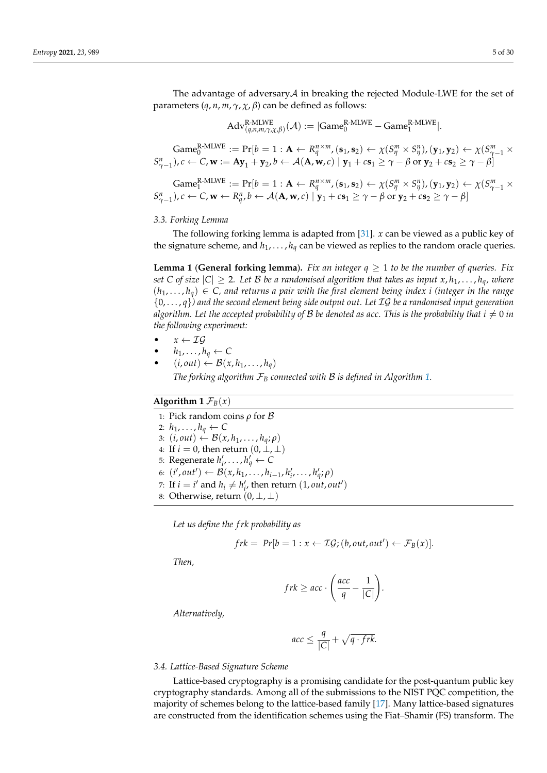The advantage of adversary $A$  in breaking the rejected Module-LWE for the set of parameters (*q*, *n*, *m*, *γ*, *χ*, *β*) can be defined as follows:

$$
\mathrm{Adv}_{(q,n,m,\gamma,\chi,\beta)}^{\mathrm{R\text{-}MLWE}}(\mathcal{A}):=|\mathrm{Game}_{0}^{\mathrm{R\text{-}MLWE}}-\mathrm{Game}_{1}^{\mathrm{R\text{-}MLWE}}|.
$$

 $\mathrm{Game}^\mathrm{R\text{-}MLWE}_0 := \Pr[b=1:\mathbf{A} \leftarrow R^{n\times m}_q, (\mathbf{s}_1, \mathbf{s}_2) \leftarrow \chi(S^m_\eta \times S^n_\eta), (\mathbf{y}_1, \mathbf{y}_2) \leftarrow \chi(S^m_{\gamma-1} \times \mathbf{A})$  $S_{\gamma-1}^n$ ),  $c \leftarrow C$ ,  $w := Ay_1 + y_2$ ,  $b \leftarrow A(A, w, c) | y_1 + c s_1 \ge \gamma - \beta$  or  $y_2 + c s_2 \ge \gamma - \beta$ 

$$
\text{Game}_{1}^{\text{R-MLWE}} := \Pr[b = 1 : \mathbf{A} \leftarrow R_{q}^{n \times m}, (\mathbf{s}_{1}, \mathbf{s}_{2}) \leftarrow \chi(S_{\eta}^{m} \times S_{\eta}^{n}), (\mathbf{y}_{1}, \mathbf{y}_{2}) \leftarrow \chi(S_{\gamma-1}^{m} \times S_{\gamma-1}^{n}), c \leftarrow C, \mathbf{w} \leftarrow R_{q}^{n}, b \leftarrow \mathcal{A}(\mathbf{A}, \mathbf{w}, c) \mid \mathbf{y}_{1} + c\mathbf{s}_{1} \geq \gamma - \beta \text{ or } \mathbf{y}_{2} + c\mathbf{s}_{2} \geq \gamma - \beta]
$$

### *3.3. Forking Lemma*

The following forking lemma is adapted from [\[31\]](#page-28-15). *x* can be viewed as a public key of the signature scheme, and  $h_1, \ldots, h_q$  can be viewed as replies to the random oracle queries.

**Lemma 1** (General forking lemma). Fix an integer  $q \geq 1$  to be the number of queries. Fix *set C* of size  $|C| \geq 2$ *. Let B be a randomised algorithm that takes as input*  $x, h_1, \ldots, h_q$ *, where*  $(h_1, \ldots, h_q) \in C$ , and returns a pair with the first element being index *i* (integer in the range {0, . . . , *q*}*) and the second element being side output out. Let* IG *be a randomised input generation algorithm. Let the accepted probability of*  $\beta$  *be denoted as acc. This is the probability that*  $i \neq 0$  *in the following experiment:*

- $x \leftarrow \mathcal{IG}$
- $h_1, \ldots, h_q \leftarrow C$
- $(i, out) \leftarrow \mathcal{B}(x, h_1, \ldots, h_q)$

*The forking algorithm*  $\mathcal{F}_B$  *connected with*  $B$  *is defined in Algorithm* [1.](#page-4-0)

# <span id="page-4-0"></span>**Algorithm 1**  $\mathcal{F}_B(x)$

1: Pick random coins *ρ* for B 2:  $h_1, \ldots, h_q \leftarrow C$ 3:  $(i, out) \leftarrow \mathcal{B}(x, h_1, \ldots, h_q; \rho)$ 4: If  $i = 0$ , then return  $(0, \perp, \perp)$ 5: Regenerate  $h'_i, \ldots, h'_q \leftarrow C$ 6:  $(i', out') \leftarrow B(x, h_1, \ldots, h_{i-1}, h'_i, \ldots, h'_q; \rho)$ 7: If  $i = i'$  and  $h_i \neq h'_{i'}$  then return  $(1, out, out')$ 8: Otherwise, return  $(0, \perp, \perp)$ 

*Let us define the f rk probability as*

$$
frk = Pr[b = 1 : x \leftarrow \mathcal{IG}; (b, out, out') \leftarrow \mathcal{F}_B(x)].
$$

*Then,*

$$
frk \geq acc \cdot \left(\frac{acc}{q} - \frac{1}{|C|}\right).
$$

*Alternatively,*

$$
acc \leq \frac{q}{|C|} + \sqrt{q \cdot frk}.
$$

## *3.4. Lattice-Based Signature Scheme*

Lattice-based cryptography is a promising candidate for the post-quantum public key cryptography standards. Among all of the submissions to the NIST PQC competition, the majority of schemes belong to the lattice-based family [\[17\]](#page-28-4). Many lattice-based signatures are constructed from the identification schemes using the Fiat–Shamir (FS) transform. The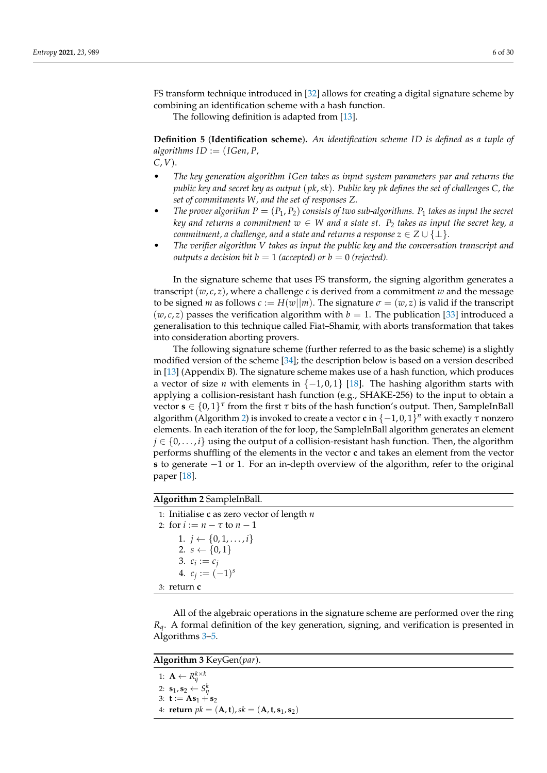FS transform technique introduced in [\[32\]](#page-28-16) allows for creating a digital signature scheme by combining an identification scheme with a hash function.

The following definition is adapted from [\[13\]](#page-28-0).

**Definition 5** (**Identification scheme**)**.** *An identification scheme ID is defined as a tuple of*  $algorithms ID := (IGen, P, I)$ *C*, *V*).

- *The key generation algorithm IGen takes as input system parameters par and returns the public key and secret key as output* (*pk*,*sk*)*. Public key pk defines the set of challenges C, the set of commitments W, and the set of responses Z.*
- *The prover algorithm*  $P = (P_1, P_2)$  *consists of two sub-algorithms.*  $P_1$  *takes as input the secret key and returns a commitment*  $w \in W$  *and a state st.*  $P_2$  *takes as input the secret key, a commitment, a challenge, and a state and returns a response*  $z \in Z \cup \{\perp\}$ *.*
- *The verifier algorithm V takes as input the public key and the conversation transcript and outputs a decision bit*  $b = 1$  *(accepted) or*  $b = 0$  *(rejected).*

In the signature scheme that uses FS transform, the signing algorithm generates a transcript  $(w, c, z)$ , where a challenge *c* is derived from a commitment *w* and the message to be signed *m* as follows  $c := H(w||m)$ . The signature  $\sigma = (w, z)$  is valid if the transcript  $(w, c, z)$  passes the verification algorithm with  $b = 1$ . The publication [\[33\]](#page-28-17) introduced a generalisation to this technique called Fiat–Shamir, with aborts transformation that takes into consideration aborting provers.

The following signature scheme (further referred to as the basic scheme) is a slightly modified version of the scheme [\[34\]](#page-29-0); the description below is based on a version described in [\[13\]](#page-28-0) (Appendix B). The signature scheme makes use of a hash function, which produces a vector of size *n* with elements in  $\{-1,0,1\}$  [\[18\]](#page-28-5). The hashing algorithm starts with applying a collision-resistant hash function (e.g., SHAKE-256) to the input to obtain a vector **s** ∈ {0, 1} *τ* from the first *τ* bits of the hash function's output. Then, SampleInBall algorithm (Algorithm [2\)](#page-5-0) is invoked to create a vector **c** in {−1, 0, 1} *<sup>n</sup>* with exactly *τ* nonzero elements. In each iteration of the for loop, the SampleInBall algorithm generates an element  $j \in \{0, \ldots, i\}$  using the output of a collision-resistant hash function. Then, the algorithm performs shuffling of the elements in the vector **c** and takes an element from the vector **s** to generate −1 or 1. For an in-depth overview of the algorithm, refer to the original paper [\[18\]](#page-28-5).

# <span id="page-5-0"></span>**Algorithm 2** SampleInBall.

1: Initialise **c** as zero vector of length *n* 2: for  $i := n - \tau$  to  $n - 1$ 1.  $i \leftarrow \{0, 1, \ldots, i\}$ 2.  $s \leftarrow \{0, 1\}$ 3.  $c_i := c_j$ 4.  $c_j := (-1)^s$ 3: return **c**

All of the algebraic operations in the signature scheme are performed over the ring *Rq*. A formal definition of the key generation, signing, and verification is presented in Algorithms [3–](#page-5-1)[5.](#page-6-0)

<span id="page-5-1"></span>**Algorithm 3** KeyGen(*par*).

1:  $\mathbf{A} \leftarrow R_q^{k \times k}$ 2:  $\mathbf{s}_1$ ,  $\mathbf{s}_2 \leftarrow S_{\eta}^k$ 3: **t** :=  $As_1 + s_2$ 4: **return**  $pk = (\mathbf{A}, \mathbf{t}), sk = (\mathbf{A}, \mathbf{t}, \mathbf{s}_1, \mathbf{s}_2)$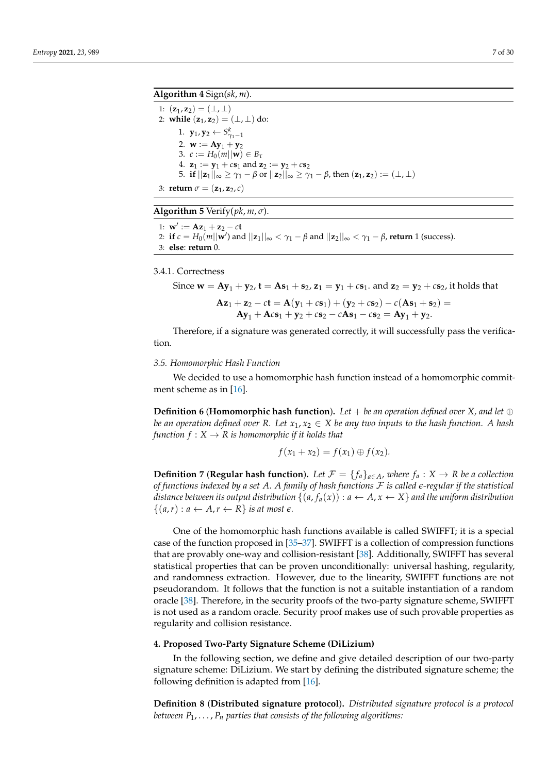# <span id="page-6-1"></span>**Algorithm 4** Sign(*sk*, *m*).

1:  $(z_1, z_2) = (\perp, \perp)$ 2: **while**  $(z_1, z_2) = (\perp, \perp)$  do: 1. **y**<sub>1</sub>, **y**<sub>2</sub>  $\leftarrow$  *S*<sup>*k*</sup><sub> $\gamma$ <sub>1</sub>-1</sub> 2.  $\mathbf{w} := \mathbf{A}\mathbf{y}_1 + \mathbf{y}_2$ 3.  $c := H_0(m||\mathbf{w}) \in B_\tau$ 4.  $z_1 := y_1 + c s_1$  and  $z_2 := y_2 + c s_2$ 5. **if**  $||\mathbf{z}_1||_{\infty} \geq \gamma_1 - \beta$  or  $||\mathbf{z}_2||_{\infty} \geq \gamma_1 - \beta$ , then  $(\mathbf{z}_1, \mathbf{z}_2) := (\perp, \perp)$ 3: **return**  $\sigma = (\mathbf{z}_1, \mathbf{z}_2, c)$ 

<span id="page-6-0"></span>**Algorithm 5** Verify( $pk, m, \sigma$ ).

1: **w**<sup> $\prime$ </sup> := **Az**<sub>1</sub> + **z**<sub>2</sub> – *c***t** 2: **if**  $c = H_0(m||\mathbf{w}')$  and  $||\mathbf{z}_1||_{\infty} < \gamma_1 - \beta$  and  $||\mathbf{z}_2||_{\infty} < \gamma_1 - \beta$ , return 1 (success). 3: **else**: **return** 0.

3.4.1. Correctness

Since 
$$
\mathbf{w} = A\mathbf{y}_1 + \mathbf{y}_2
$$
,  $\mathbf{t} = A\mathbf{s}_1 + \mathbf{s}_2$ ,  $\mathbf{z}_1 = \mathbf{y}_1 + c\mathbf{s}_1$ , and  $\mathbf{z}_2 = \mathbf{y}_2 + c\mathbf{s}_2$ , it holds that  
\n
$$
A\mathbf{z}_1 + \mathbf{z}_2 - c\mathbf{t} = A(\mathbf{y}_1 + c\mathbf{s}_1) + (\mathbf{y}_2 + c\mathbf{s}_2) - c(A\mathbf{s}_1 + \mathbf{s}_2) =
$$
\n
$$
A\mathbf{y}_1 + A c\mathbf{s}_1 + \mathbf{y}_2 + c\mathbf{s}_2 - cA\mathbf{s}_1 - c\mathbf{s}_2 = A\mathbf{y}_1 + \mathbf{y}_2.
$$

Therefore, if a signature was generated correctly, it will successfully pass the verification.

#### *3.5. Homomorphic Hash Function*

We decided to use a homomorphic hash function instead of a homomorphic commitment scheme as in [\[16\]](#page-28-3).

**Definition 6** (**Homomorphic hash function**). Let  $+$  be an operation defined over *X*, and let  $\oplus$ *be an operation defined over R. Let*  $x_1, x_2 \in X$  *be any two inputs to the hash function. A hash function*  $f: X \to R$  *is homomorphic if it holds that* 

$$
f(x_1 + x_2) = f(x_1) \oplus f(x_2).
$$

**Definition 7** (**Regular hash function**). Let  $\mathcal{F} = \{f_a\}_{a \in A}$ , where  $f_a : X \to R$  be a collection *of functions indexed by a set A. A family of hash functions* F *is called e-regular if the statistical distance between its output distribution*  $\{(a, f_a(x)) : a \leftarrow A, x \leftarrow X\}$  *and the uniform distribution*  $\{(a,r): a \leftarrow A, r \leftarrow R\}$  *is at most*  $\epsilon$ *.* 

One of the homomorphic hash functions available is called SWIFFT; it is a special case of the function proposed in [\[35](#page-29-1)[–37\]](#page-29-2). SWIFFT is a collection of compression functions that are provably one-way and collision-resistant [\[38\]](#page-29-3). Additionally, SWIFFT has several statistical properties that can be proven unconditionally: universal hashing, regularity, and randomness extraction. However, due to the linearity, SWIFFT functions are not pseudorandom. It follows that the function is not a suitable instantiation of a random oracle [\[38\]](#page-29-3). Therefore, in the security proofs of the two-party signature scheme, SWIFFT is not used as a random oracle. Security proof makes use of such provable properties as regularity and collision resistance.

#### **4. Proposed Two-Party Signature Scheme (DiLizium)**

In the following section, we define and give detailed description of our two-party signature scheme: DiLizium. We start by defining the distributed signature scheme; the following definition is adapted from [\[16\]](#page-28-3).

**Definition 8** (**Distributed signature protocol**)**.** *Distributed signature protocol is a protocol between P*1, . . . , *P<sup>n</sup> parties that consists of the following algorithms:*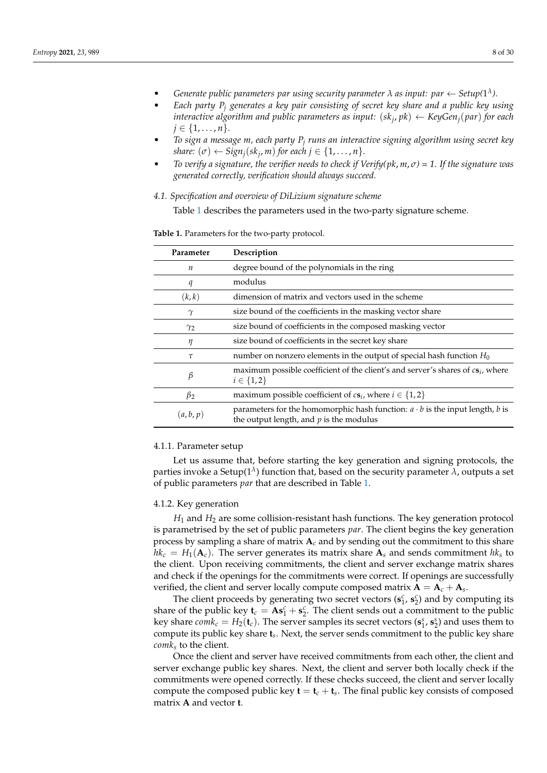- Cenerate public parameters par using security parameter  $\lambda$  as input: par  $\leftarrow$  Setup( $1^{\lambda}$ ).
- *Each party P<sup>j</sup> generates a key pair consisting of secret key share and a public key using interactive algorithm and public parameters as input:* (*sk<sup>j</sup>* , *pk*) ← *KeyGenj*(*par*) *for each j* ∈ {1, . . . , *n* }.
- *To sign a message m, each party P<sup>j</sup> runs an interactive signing algorithm using secret key*  $\mathcal{L}$  *share:*  $(\sigma) \leftarrow \mathcal{S}$ *ign*<sub>*j*</sub>( $\mathcal{S}$ *k*<sub>*j*</sub>, *m*) *for each*  $j \in \{1, \ldots, n\}$ *.*
- *To verify a signature, the verifier needs to check if Verify(pk*, *m*, *σ) = 1. If the signature was generated correctly, verification should always succeed.*
- *4.1. Specification and overview of DiLizium signature scheme*

Table [1](#page-7-0) describes the parameters used in the two-party signature scheme.

<span id="page-7-0"></span>**Table 1.** Parameters for the two-party protocol.

| Parameter        | Description                                                                                                                      |
|------------------|----------------------------------------------------------------------------------------------------------------------------------|
| $\boldsymbol{n}$ | degree bound of the polynomials in the ring                                                                                      |
| q                | modulus                                                                                                                          |
| (k,k)            | dimension of matrix and vectors used in the scheme                                                                               |
| $\gamma$         | size bound of the coefficients in the masking vector share                                                                       |
| $\gamma_2$       | size bound of coefficients in the composed masking vector                                                                        |
| η                | size bound of coefficients in the secret key share                                                                               |
| $\tau$           | number on nonzero elements in the output of special hash function $H_0$                                                          |
| β                | maximum possible coefficient of the client's and server's shares of $cs_i$ , where<br>$i \in \{1,2\}$                            |
| $\beta_2$        | maximum possible coefficient of $cs_i$ , where $i \in \{1,2\}$                                                                   |
| (a, b, p)        | parameters for the homomorphic hash function: $a \cdot b$ is the input length, b is<br>the output length, and $p$ is the modulus |

#### 4.1.1. Parameter setup

Let us assume that, before starting the key generation and signing protocols, the parties invoke a Setup(1 *λ* ) function that, based on the security parameter *λ*, outputs a set of public parameters *par* that are described in Table [1.](#page-7-0)

#### 4.1.2. Key generation

*H*<sup>1</sup> and *H*<sup>2</sup> are some collision-resistant hash functions. The key generation protocol is parametrised by the set of public parameters *par*. The client begins the key generation process by sampling a share of matrix  $A_c$  and by sending out the commitment to this share  $hk_c = H_1(\mathbf{A}_c)$ . The server generates its matrix share  $\mathbf{A}_s$  and sends commitment  $hk_s$  to the client. Upon receiving commitments, the client and server exchange matrix shares and check if the openings for the commitments were correct. If openings are successfully verified, the client and server locally compute composed matrix  $A = A_c + A_s$ .

The client proceeds by generating two secret vectors  $(\mathbf{s}_1^c, \mathbf{s}_2^c)$  and by computing its share of the public key  $\mathbf{t}_c = \mathbf{A} \mathbf{s}_1^c + \mathbf{s}_2^c$ . The client sends out a commitment to the public key share  $\textit{comk}_c = H_2(\mathbf{t}_c)$ . The server samples its secret vectors  $(\mathbf{s}_1^s, \mathbf{s}_2^s)$  and uses them to compute its public key share **t***s* . Next, the server sends commitment to the public key share *comk<sup>s</sup>* to the client.

Once the client and server have received commitments from each other, the client and server exchange public key shares. Next, the client and server both locally check if the commitments were opened correctly. If these checks succeed, the client and server locally compute the composed public key  $t = t_c + t_s$ . The final public key consists of composed matrix **A** and vector **t**.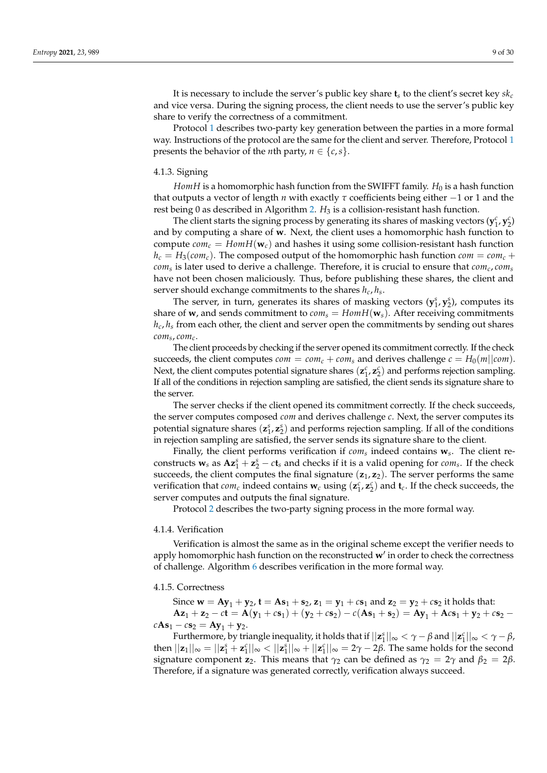It is necessary to include the server's public key share **t***<sup>s</sup>* to the client's secret key *sk<sup>c</sup>* and vice versa. During the signing process, the client needs to use the server's public key share to verify the correctness of a commitment.

Protocol [1](#page-8-0) describes two-party key generation between the parties in a more formal way. Instructions of the protocol are the same for the client and server. Therefore, Protocol [1](#page-8-0) presents the behavior of the *n*th party,  $n \in \{c, s\}$ .

#### 4.1.3. Signing

*HomH* is a homomorphic hash function from the SWIFFT family.  $H_0$  is a hash function that outputs a vector of length *n* with exactly *τ* coefficients being either −1 or 1 and the rest being 0 as described in Algorithm [2.](#page-5-0) *H*<sub>3</sub> is a collision-resistant hash function.

The client starts the signing process by generating its shares of masking vectors  $(\mathbf{y}_1^c, \mathbf{y}_2^c)$ and by computing a share of **w**. Next, the client uses a homomorphic hash function to compute  $com_c = HomH(\mathbf{w}_c)$  and hashes it using some collision-resistant hash function  $h_c = H_3(com_c)$ . The composed output of the homomorphic hash function *com* = *com<sub>c</sub>* + *com<sup>s</sup>* is later used to derive a challenge. Therefore, it is crucial to ensure that *comc*, *com<sup>s</sup>* have not been chosen maliciously. Thus, before publishing these shares, the client and server should exchange commitments to the shares *hc*, *h<sup>s</sup>* .

The server, in turn, generates its shares of masking vectors  $(y_1^s, y_2^s)$ , computes its share of **w**, and sends commitment to  $com_s = HomH(\mathbf{w}_s)$ . After receiving commitments  $h_c$ ,  $h_s$  from each other, the client and server open the commitments by sending out shares *com<sup>s</sup>* , *comc*.

The client proceeds by checking if the server opened its commitment correctly. If the check succeeds, the client computes  $com = com_c + com_s$  and derives challenge  $c = H_0(m||com)$ . Next, the client computes potential signature shares  $(z_1^c, z_2^c)$  and performs rejection sampling. If all of the conditions in rejection sampling are satisfied, the client sends its signature share to the server.

The server checks if the client opened its commitment correctly. If the check succeeds, the server computes composed *com* and derives challenge *c*. Next, the server computes its potential signature shares  $(z_1^s, z_2^s)$  and performs rejection sampling. If all of the conditions in rejection sampling are satisfied, the server sends its signature share to the client.

Finally, the client performs verification if *com<sup>s</sup>* indeed contains **w***s* . The client reconstructs  $\mathbf{w}_s$  as  $\mathbf{A} \mathbf{z}_1^s + \mathbf{z}_2^s - c \mathbf{t}_s$  and checks if it is a valid opening for *com<sub>s</sub>*. If the check succeeds, the client computes the final signature (**z**1, **z**2). The server performs the same verification that  $com_c$  indeed contains  $w_c$  using  $(z_1^c, z_2^c)$  and  $t_c$ . If the check succeeds, the server computes and outputs the final signature.

Protocol [2](#page-9-0) describes the two-party signing process in the more formal way.

#### 4.1.4. Verification

Verification is almost the same as in the original scheme except the verifier needs to apply homomorphic hash function on the reconstructed w' in order to check the correctness of challenge. Algorithm [6](#page-10-0) describes verification in the more formal way.

# 4.1.5. Correctness

Since  $\mathbf{w} = A\mathbf{y}_1 + \mathbf{y}_2$ ,  $\mathbf{t} = A\mathbf{s}_1 + \mathbf{s}_2$ ,  $\mathbf{z}_1 = \mathbf{y}_1 + c\mathbf{s}_1$  and  $\mathbf{z}_2 = \mathbf{y}_2 + c\mathbf{s}_2$  it holds that:  $Az_1 + z_2 - ct = A(y_1 + cs_1) + (y_2 + cs_2) - c(As_1 + s_2) = Ay_1 + Acs_1 + y_2 + cs_2$  $cAs_1 - cs_2 = Ay_1 + y_2.$ 

<span id="page-8-0"></span>Furthermore, by triangle inequality, it holds that if  $||z_1^s||_{\infty} < \gamma - \beta$  and  $||z_1^c||_{\infty} < \gamma - \beta$ , then  $||\mathbf{z}_1||_\infty = ||\mathbf{z}_1^s + \mathbf{z}_1^c||_\infty < ||\mathbf{z}_1^s||_\infty + ||\mathbf{z}_1^c||_\infty = 2γ - 2β$ . The same holds for the second signature component **z**<sub>2</sub>. This means that  $\gamma_2$  can be defined as  $\gamma_2 = 2\gamma$  and  $\beta_2 = 2\beta$ . Therefore, if a signature was generated correctly, verification always succeed.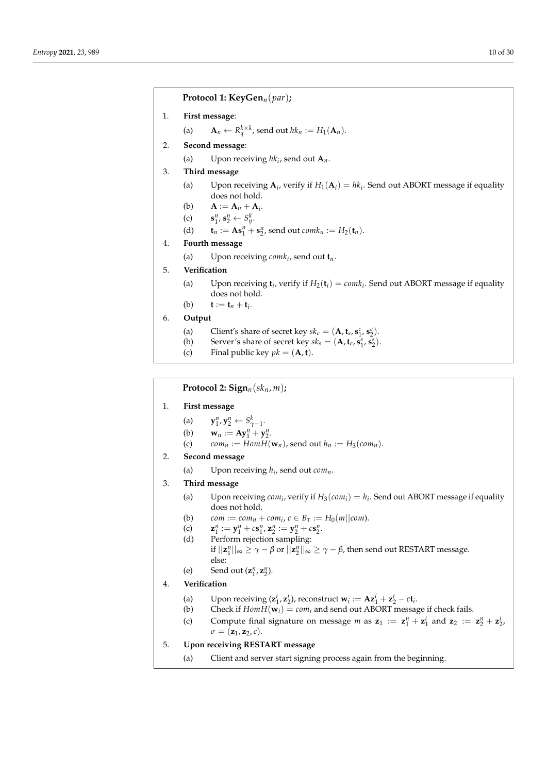**Protocol 1: KeyGen***n*(*par*)**;**

1. **First message**:

(a)  $\mathbf{A}_n \leftarrow R_q^{k \times k}$ , send out  $hk_n := H_1(\mathbf{A}_n)$ .

- 2. **Second message**:
	- (a) Upon receiving  $hk_i$ , send out  $A_n$ .
- 3. **Third message**
	- (a) Upon receiving  $A_i$ , verify if  $H_1(A_i) = hk_i$ . Send out ABORT message if equality does not hold.
	- (b)  $A := A_n + A_i$ .
	- $(c)$  $n_1^n$ ,  $\mathbf{s}_2^n \leftarrow S_{\eta}^k$ .
	- (d)  $\mathbf{t}_n := \mathbf{A} \mathbf{s}_1^n + \mathbf{s}_2^n$ , send out  $comk_n := H_2(\mathbf{t}_n)$ .
- 4. **Fourth message**
	- (a) Upon receiving *comk<sup>i</sup>* , send out **t***n*.
- 5. **Verification**
	- (a) Upon receiving  $\mathbf{t}_i$ , verify if  $H_2(\mathbf{t}_i) = \text{coml}_i$ . Send out ABORT message if equality does not hold.
	- (b) **t** := **t**<sub>*n*</sub> + **t**<sub>*i*</sub>.
- 6. **Output**
	- (a) Client's share of secret key  $sk_c = (\mathbf{A}, \mathbf{t}_s, \mathbf{s}_1^c, \mathbf{s}_2^c)$ .
	- (b) Server's share of secret key  $sk_s = (\mathbf{A}, \mathbf{t}_c, \mathbf{s}_1^s, \mathbf{s}_2^s)$ .
	- (c) Final public key  $pk = (\mathbf{A}, \mathbf{t})$ .

<span id="page-9-0"></span>**Protocol 2:**  $\text{Sign}_n(\textit{sk}_n, m)$ ;

- 1. **First message**
	- (a) **y**  $n_1^n, \mathbf{y}_2^n \leftarrow S_{\gamma-1}^k.$
	- (b)  $\mathbf{w}_n := \mathbf{A} \mathbf{y}_1^n + \mathbf{y}_2^n$ .
	- (c)  $com_n := HomH(\mathbf{w}_n)$ , send out  $h_n := H_3(com_n)$ .
- 2. **Second message**
	- (a) Upon receiving *h<sup>i</sup>* , send out *comn*.
- 3. **Third message**
	- (a) Upon receiving  $com_i$ , verify if  $H_3(com_i) = h_i$ . Send out ABORT message if equality does not hold.
	- (b)  $com := com_n + com_i, c \in B_\tau := H_0(m||com).$
	- (c) **z**  $y_1^n := y_1^n + cs_1^n$ ,  $z_2^n := y_2^n + cs_2^n$ .
	- (d) Perform rejection sampling: if  $||\mathbf{z}_1^n||_{\infty} \geq \gamma - \beta$  or  $||\mathbf{z}_2^n||_{\infty} \geq \gamma - \beta$ , then send out RESTART message. else:
	- (e) Send out  $(\mathbf{z}_1^n, \mathbf{z}_2^n)$ .
- 4. **Verification**
	- (a) Upon receiving  $(\mathbf{z}_1^i, \mathbf{z}_2^i)$ , reconstruct  $\mathbf{w}_i := \mathbf{A}\mathbf{z}_1^i + \mathbf{z}_2^i c\mathbf{t}_i$ .
	- (b) Check if  $Hom H(\mathbf{w}_i) = com_i$  and send out ABORT message if check fails.
	- (c) Compute final signature on message *m* as  $z_1 := z_1^n + z_1^i$  and  $z_2 := z_2^n + z_2^i$ ,  $\sigma = (\mathbf{z}_1, \mathbf{z}_2, c).$
- 5. **Upon receiving RESTART message**
	- (a) Client and server start signing process again from the beginning.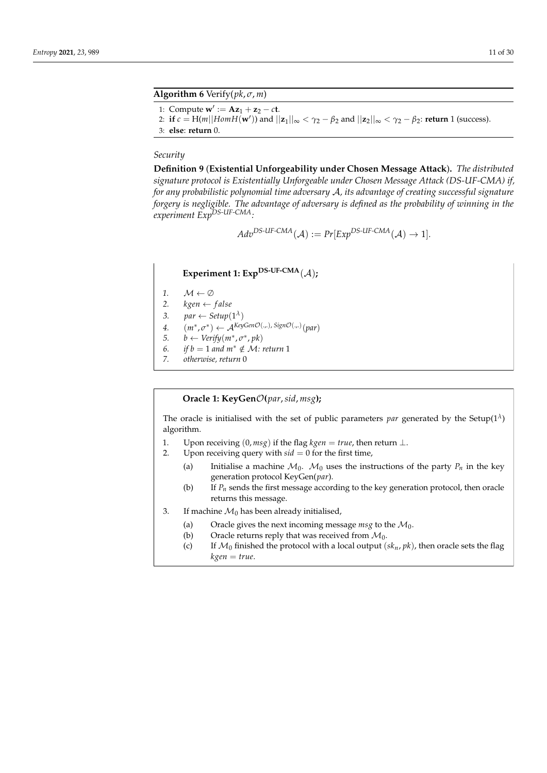<span id="page-10-0"></span>**Algorithm 6** Verify(*pk*, *σ*, *m*)

```
1: Compute w' := Az_1 + z_2 - ct.
```
2: **if**  $c = H(m||Hom H(\mathbf{w}'))$  and  $||\mathbf{z}_1||_{\infty} < \gamma_2 - \beta_2$  and  $||\mathbf{z}_2||_{\infty} < \gamma_2 - \beta_2$ : **return** 1 (success).

3: **else**: **return** 0.

# *Security*

**Definition 9** (**Existential Unforgeability under Chosen Message Attack**)**.** *The distributed signature protocol is Existentially Unforgeable under Chosen Message Attack (DS-UF-CMA) if, for any probabilistic polynomial time adversary* A*, its advantage of creating successful signature forgery is negligible. The advantage of adversary is defined as the probability of winning in the experiment ExpDS-UF-CMA:*

 $Adv^{DS-UF-CMA}(\mathcal{A}) := Pr[Exp^{DS-UF-CMA}(\mathcal{A}) \rightarrow 1].$ 

# **Experiment 1: ExpDS-UF-CMA**(A)**;**

- 1.  $M \leftarrow \emptyset$
- 2.  $kgen \leftarrow false$
- 
- 3.  $par \leftarrow Setup(1^{\lambda})$
- $4.$   $(m^*, \sigma^*) \leftarrow A^{KeyGenO(.,.,)signO(.,.)}(par)$
- 5. *b* ← *Verify* $(m^*, \sigma^*, pk)$
- *6. if b* = 1 *and*  $m$ <sup>∗</sup> ∉ *M*: *return* 1<br>*7 otherwise return* 0 *7. otherwise, return* 0
- 

# **Oracle 1: KeyGen**O**(***par*,*sid*, *msg***);**

The oracle is initialised with the set of public parameters *par* generated by the Setup( $1^{\lambda}$ ) algorithm.

- 1. Upon receiving  $(0, \text{msg})$  if the flag  $\text{kgen} = \text{true}$ , then return  $\perp$ .
- 2. Upon receiving query with  $sid = 0$  for the first time,
	- (a) Initialise a machine  $M_0$ .  $M_0$  uses the instructions of the party  $P_n$  in the key generation protocol KeyGen(*par*).
	- (b) If *Pn* sends the first message according to the key generation protocol, then oracle returns this message.
- 3. If machine  $\mathcal{M}_0$  has been already initialised,
	- (a) Oracle gives the next incoming message *msg* to the  $M_0$ .<br>(b) Oracle returns reply that was received from  $M_0$ .
	- (b) Oracle returns reply that was received from  $M_0$ .<br>(c) If  $M_0$  finished the protocol with a local output (s)
	- If  $\mathcal{M}_0$  finished the protocol with a local output ( $sk_n$ ,  $pk$ ), then oracle sets the flag *kgen* = *true*.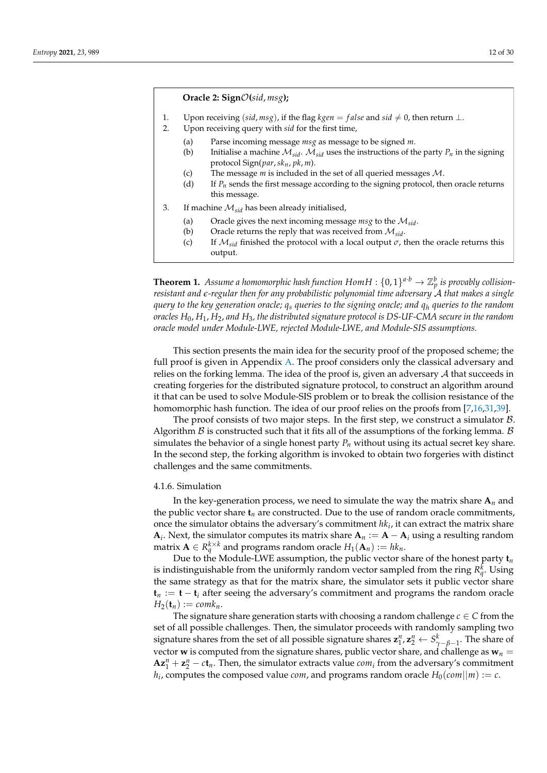#### **Oracle 2: Sign**O**(***sid*, *msg***);**

- 1. Upon receiving (*sid*, *msg*), if the flag *kgen* = false and *sid*  $\neq$  0, then return ⊥.
- 2. Upon receiving query with *sid* for the first time,
	- (a) Parse incoming message *msg* as message to be signed *m*.
	- (b) Initialise a machine  $M_{sid}$ .  $M_{sid}$  uses the instructions of the party  $P_n$  in the signing protocol Sign(*par*,*skn*, *pk*, *m*).
	- (c) The message *m* is included in the set of all queried messages M.
	- (d) If  $P_n$  sends the first message according to the signing protocol, then oracle returns this message.
- 3. If machine M*sid* has been already initialised,
	- (a) Oracle gives the next incoming message *msg* to the M*sid*.
	- (b) Oracle returns the reply that was received from M*sid*.
	- (c) If  $\mathcal{M}_{sid}$  finished the protocol with a local output  $\sigma$ , then the oracle returns this output.

**Theorem 1.** Assume a homomorphic hash function  $Hom H: \{0,1\}^{a \cdot b} \to \mathbb{Z}_p^b$  is provably collision*resistant and e-regular then for any probabilistic polynomial time adversary* A *that makes a single query to the key generation oracle; q<sup>s</sup> queries to the signing oracle; and q<sup>h</sup> queries to the random oracles H*0, *H*1, *H*2, *and H*3*, the distributed signature protocol is DS-UF-CMA secure in the random oracle model under Module-LWE, rejected Module-LWE, and Module-SIS assumptions.*

This section presents the main idea for the security proof of the proposed scheme; the full proof is given in Appendix [A.](#page-17-0) The proof considers only the classical adversary and relies on the forking lemma. The idea of the proof is, given an adversary  $A$  that succeeds in creating forgeries for the distributed signature protocol, to construct an algorithm around it that can be used to solve Module-SIS problem or to break the collision resistance of the homomorphic hash function. The idea of our proof relies on the proofs from [\[7](#page-27-9)[,16](#page-28-3)[,31](#page-28-15)[,39\]](#page-29-4).

The proof consists of two major steps. In the first step, we construct a simulator  $\beta$ . Algorithm  $\beta$  is constructed such that it fits all of the assumptions of the forking lemma.  $\beta$ simulates the behavior of a single honest party  $P_n$  without using its actual secret key share. In the second step, the forking algorithm is invoked to obtain two forgeries with distinct challenges and the same commitments.

### 4.1.6. Simulation

In the key-generation process, we need to simulate the way the matrix share  $A_n$  and the public vector share  $\mathbf{t}_n$  are constructed. Due to the use of random oracle commitments, once the simulator obtains the adversary's commitment  $hk_i$ , it can extract the matrix share **A**<sub>*i*</sub>. Next, the simulator computes its matrix share  $A_n := A - A_i$  using a resulting random  $\mathbf{M}$  matrix  $\mathbf{A} \in R_q^{k \times k}$  and programs random oracle  $H_1(\mathbf{A}_n) := h k_n$ .

Due to the Module-LWE assumption, the public vector share of the honest party  $t_n$ is indistinguishable from the uniformly random vector sampled from the ring  $R_q^k$ . Using the same strategy as that for the matrix share, the simulator sets it public vector share **t***<sup>n</sup>* := **t** − **t***<sup>i</sup>* after seeing the adversary's commitment and programs the random oracle  $H_2(\mathbf{t}_n) := \text{comk}_n$ .

The signature share generation starts with choosing a random challenge  $c \in C$  from the set of all possible challenges. Then, the simulator proceeds with randomly sampling two signature shares from the set of all possible signature shares  $\mathbf{z}_1^n$ ,  $\mathbf{z}_2^n \leftarrow S_{\gamma-\beta-1}^k$ . The share of vector **w** is computed from the signature shares, public vector share, and challenge as  $w_n =$  $Az_1^n + z_2^n - ct_n$ . Then, the simulator extracts value *com<sub>i</sub>* from the adversary's commitment  $h_i$ , computes the composed value *com*, and programs random oracle  $H_0$ (*com*||*m*) := *c*.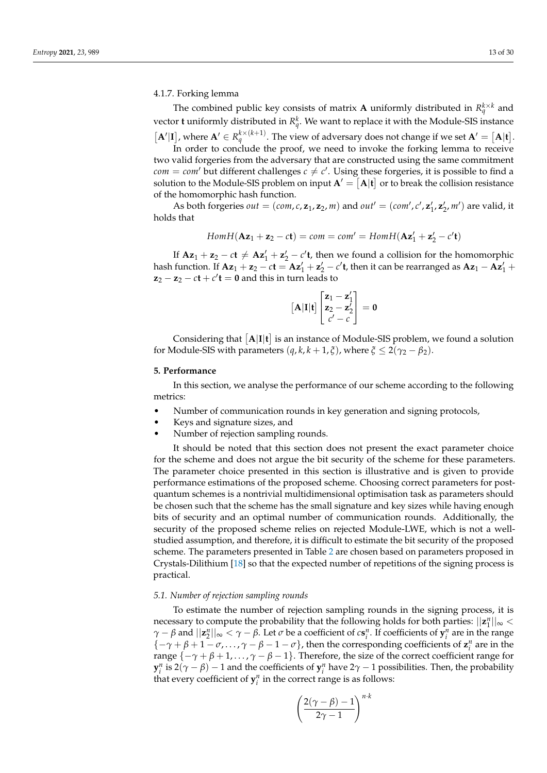4.1.7. Forking lemma

The combined public key consists of matrix **A** uniformly distributed in  $R_q^{k \times k}$  and vector **t** uniformly distributed in  $R_q^k$ . We want to replace it with the Module-SIS instance  $[\mathbf{A}'|\mathbf{I}]$ , where  $\mathbf{A}' \in R_q^{k \times (k+1)}$ . The view of adversary does not change if we set  $\mathbf{A}' = [\mathbf{A}|\mathbf{t}]$ .

In order to conclude the proof, we need to invoke the forking lemma to receive two valid forgeries from the adversary that are constructed using the same commitment  $com = com'$  but different challenges  $c \neq c'$ . Using these forgeries, it is possible to find a solution to the Module-SIS problem on input  $A' = [A|t]$  or to break the collision resistance of the homomorphic hash function.

As both forgeries *out* = (*com*, *c*,  $z_1$ ,  $z_2$ , *m*) and *out'* = (*com'*, *c'*,  $z'_1$ ,  $z'_2$ , *m'*) are valid, it holds that

$$
Hom H(\mathbf{Az}_1 + \mathbf{z}_2 - c\mathbf{t}) = com = com' = Hom H(\mathbf{Az}'_1 + \mathbf{z}'_2 - c'\mathbf{t})
$$

If  $Az_1 + z_2 - ct \neq Az'_1 + z'_2 - c't$ , then we found a collision for the homomorphic hash function. If  $Az_1 + z_2 - ct = Az'_1 + z'_2 - c't$ , then it can be rearranged as  $Az_1 - Az'_1 +$  $z_2 - z_2 - ct + c'$ **t** = **0** and this in turn leads to

$$
\begin{bmatrix} \mathbf{A}|\mathbf{I}|\mathbf{t} \end{bmatrix} \begin{bmatrix} \mathbf{z}_1 - \mathbf{z}_1' \\ \mathbf{z}_2 - \mathbf{z}_2' \\ c' - c \end{bmatrix} = \mathbf{0}
$$

Considering that  $[A|I|t]$  is an instance of Module-SIS problem, we found a solution for Module-SIS with parameters  $(q, k, k + 1, \xi)$ , where  $\xi \leq 2(\gamma_2 - \beta_2)$ .

# **5. Performance**

In this section, we analyse the performance of our scheme according to the following metrics:

- Number of communication rounds in key generation and signing protocols,
- Keys and signature sizes, and
- Number of rejection sampling rounds.

It should be noted that this section does not present the exact parameter choice for the scheme and does not argue the bit security of the scheme for these parameters. The parameter choice presented in this section is illustrative and is given to provide performance estimations of the proposed scheme. Choosing correct parameters for postquantum schemes is a nontrivial multidimensional optimisation task as parameters should be chosen such that the scheme has the small signature and key sizes while having enough bits of security and an optimal number of communication rounds. Additionally, the security of the proposed scheme relies on rejected Module-LWE, which is not a wellstudied assumption, and therefore, it is difficult to estimate the bit security of the proposed scheme. The parameters presented in Table [2](#page-13-0) are chosen based on parameters proposed in Crystals-Dilithium [\[18\]](#page-28-5) so that the expected number of repetitions of the signing process is practical.

# *5.1. Number of rejection sampling rounds*

To estimate the number of rejection sampling rounds in the signing process, it is necessary to compute the probability that the following holds for both parties:  $||\mathbf{z}_1^n||_{\infty}$ *γ* − *β* and  $||z_2^n||_{\infty} < \gamma - \beta$ . Let *σ* be a coefficient of *c*s<sup>*n*</sup>. If coefficients of  $y_i^n$  are in the range  ${-\gamma + \beta + 1 - \sigma, \ldots, \gamma - \beta - 1 - \sigma}$ , then the corresponding coefficients of  $z_i^n$  are in the range  $\{-\gamma + \beta + 1, \ldots, \gamma - \beta - 1\}$ . Therefore, the size of the correct coefficient range for  $\mathbf{y}_i^n$  is 2( $\gamma - \beta$ ) − 1 and the coefficients of  $\mathbf{y}_i^n$  have 2 $\gamma$  − 1 possibilities. Then, the probability that every coefficient of  $y_i^n$  in the correct range is as follows:

$$
\left(\frac{2(\gamma-\beta)-1}{2\gamma-1}\right)^{n\cdot k}
$$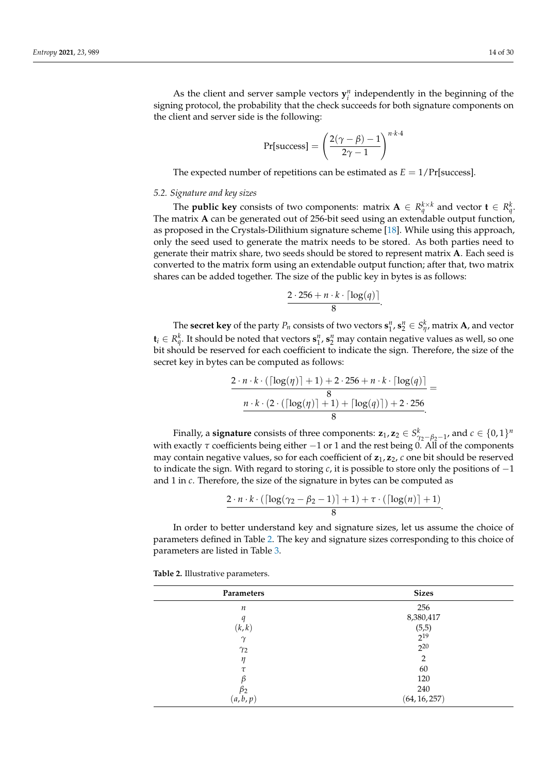As the client and server sample vectors  $y_i^n$  independently in the beginning of the signing protocol, the probability that the check succeeds for both signature components on the client and server side is the following:

$$
Pr[success] = \left(\frac{2(\gamma - \beta) - 1}{2\gamma - 1}\right)^{n \cdot k \cdot 4}
$$

The expected number of repetitions can be estimated as  $E = 1/Pr[success]$ .

# *5.2. Signature and key sizes*

The **public key** consists of two components: matrix  $\mathbf{A} \in R_q^{k \times k}$  and vector  $\mathbf{t} \in R_q^k$ . The matrix **A** can be generated out of 256-bit seed using an extendable output function, as proposed in the Crystals-Dilithium signature scheme [\[18\]](#page-28-5). While using this approach, only the seed used to generate the matrix needs to be stored. As both parties need to generate their matrix share, two seeds should be stored to represent matrix **A**. Each seed is converted to the matrix form using an extendable output function; after that, two matrix shares can be added together. The size of the public key in bytes is as follows:

$$
\frac{2\cdot 256 + n\cdot k\cdot \lceil \log(q) \rceil}{8}
$$

.

The **secret key** of the party  $P_n$  consists of two vectors  $\mathbf{s}_1^n$ ,  $\mathbf{s}_2^n \in S_{\eta'}^k$ , matrix **A**, and vector  $\mathbf{t}_i \in R^k_q$ . It should be noted that vectors  $\mathbf{s}^n_1$ ,  $\mathbf{s}^n_2$  may contain negative values as well, so one bit should be reserved for each coefficient to indicate the sign. Therefore, the size of the secret key in bytes can be computed as follows:

$$
\frac{2 \cdot n \cdot k \cdot (\lceil \log(\eta) \rceil + 1) + 2 \cdot 256 + n \cdot k \cdot \lceil \log(q) \rceil}{8} = \frac{n \cdot k \cdot (2 \cdot (\lceil \log(\eta) \rceil + 1) + \lceil \log(q) \rceil) + 2 \cdot 256}{8}.
$$

Finally, a signature consists of three components:  $z_1$ ,  $z_2 \in S^k_{\gamma_2-\beta_2-1}$ , and  $c \in \{0,1\}^n$ with exactly  $\tau$  coefficients being either  $-1$  or 1 and the rest being 0. All of the components may contain negative values, so for each coefficient of **z**1, **z**2, *c* one bit should be reserved to indicate the sign. With regard to storing *c*, it is possible to store only the positions of −1 and 1 in *c*. Therefore, the size of the signature in bytes can be computed as

$$
\frac{2 \cdot n \cdot k \cdot (\lceil \log(\gamma_2 - \beta_2 - 1) \rceil + 1) + \tau \cdot (\lceil \log(n) \rceil + 1)}{8}.
$$

In order to better understand key and signature sizes, let us assume the choice of parameters defined in Table [2.](#page-13-0) The key and signature sizes corresponding to this choice of parameters are listed in Table [3.](#page-14-0)

| Parameters       | <b>Sizes</b>   |  |
|------------------|----------------|--|
| $\boldsymbol{n}$ | 256            |  |
| q                | 8,380,417      |  |
| (k, k)           | (5,5)          |  |
| $\gamma$         | $2^{19}$       |  |
| $\gamma_2$       | $2^{20}$       |  |
| η                | $\overline{2}$ |  |
| τ                | 60             |  |
| ß                | 120            |  |
| $\beta_2$        | 240            |  |
| (a, b, p)        | (64, 16, 257)  |  |

<span id="page-13-0"></span>**Table 2.** Illustrative parameters.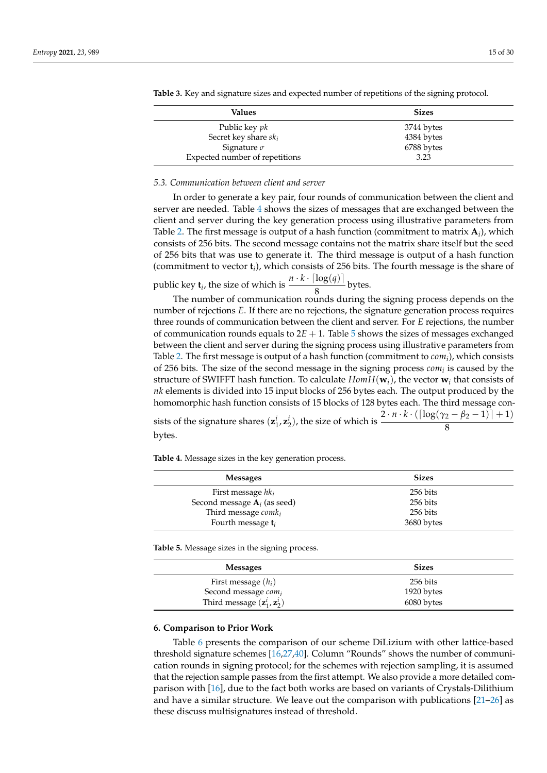| Values                         | <b>Sizes</b> |
|--------------------------------|--------------|
| Public key <i>pk</i>           | 3744 bytes   |
| Secret key share $sk_i$        | 4384 bytes   |
| Signature $\sigma$             | 6788 bytes   |
| Expected number of repetitions | 3.23         |

<span id="page-14-0"></span>**Table 3.** Key and signature sizes and expected number of repetitions of the signing protocol.

# *5.3. Communication between client and server*

In order to generate a key pair, four rounds of communication between the client and server are needed. Table [4](#page-14-1) shows the sizes of messages that are exchanged between the client and server during the key generation process using illustrative parameters from Table [2.](#page-13-0) The first message is output of a hash function (commitment to matrix  $\mathbf{A}_i$ ), which consists of 256 bits. The second message contains not the matrix share itself but the seed of 256 bits that was use to generate it. The third message is output of a hash function (commitment to vector **t***<sup>i</sup>* ), which consists of 256 bits. The fourth message is the share of

public key **t**<sub>*i*</sub>, the size of which is  $\frac{n \cdot k \cdot \lceil \log(q) \rceil}{s}$  $\frac{6(1)}{8}$  bytes.

The number of communication rounds during the signing process depends on the number of rejections *E*. If there are no rejections, the signature generation process requires three rounds of communication between the client and server. For *E* rejections, the number of communication rounds equals to 2*E* + 1. Table [5](#page-14-2) shows the sizes of messages exchanged between the client and server during the signing process using illustrative parameters from Table [2.](#page-13-0) The first message is output of a hash function (commitment to *com<sup>i</sup>* ), which consists of 256 bits. The size of the second message in the signing process *com<sup>i</sup>* is caused by the structure of SWIFFT hash function. To calculate *HomH*(**w***i*), the vector **w***<sup>i</sup>* that consists of *nk* elements is divided into 15 input blocks of 256 bytes each. The output produced by the homomorphic hash function consists of 15 blocks of 128 bytes each. The third message consists of the signature shares  $(z_1^i, z_2^i)$ , the size of which is  $\frac{2 \cdot n \cdot k \cdot (\lceil \log(\gamma_2 - \beta_2 - 1) \rceil + 1)}{8}$ 8

bytes.

<span id="page-14-1"></span>**Table 4.** Message sizes in the key generation process.

| <b>Messages</b>                 | <b>Sizes</b> |  |
|---------------------------------|--------------|--|
| First message $hk_i$            | 256 bits     |  |
| Second message $A_i$ (as seed)  | 256 bits     |  |
| Third message $\textit{comk}_i$ | 256 bits     |  |
| Fourth message $t_i$            | 3680 bytes   |  |

<span id="page-14-2"></span>**Table 5.** Message sizes in the signing process.

| <b>Messages</b>                                  | <b>Sizes</b> |
|--------------------------------------------------|--------------|
| First message $(h_i)$                            | 256 bits     |
| Second message com <sub>i</sub>                  | 1920 bytes   |
| Third message $(\mathbf{z}_1^i, \mathbf{z}_2^i)$ | 6080 bytes   |

#### **6. Comparison to Prior Work**

Table [6](#page-15-0) presents the comparison of our scheme DiLizium with other lattice-based threshold signature schemes [\[16,](#page-28-3)[27,](#page-28-11)[40\]](#page-29-5). Column "Rounds" shows the number of communication rounds in signing protocol; for the schemes with rejection sampling, it is assumed that the rejection sample passes from the first attempt. We also provide a more detailed comparison with [\[16\]](#page-28-3), due to the fact both works are based on variants of Crystals-Dilithium and have a similar structure. We leave out the comparison with publications [\[21–](#page-28-8)[26\]](#page-28-9) as these discuss multisignatures instead of threshold.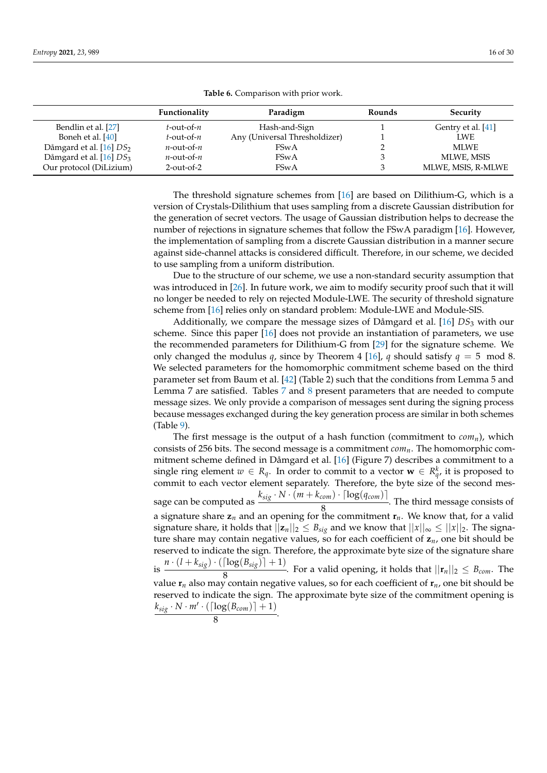<span id="page-15-0"></span>

|                                     | Functionality    | Paradigm                      | Rounds | Security           |
|-------------------------------------|------------------|-------------------------------|--------|--------------------|
| Bendlin et al. [27]                 | $t$ -out-of- $n$ | Hash-and-Sign                 |        | Gentry et al. [41] |
| Boneh et al. [40]                   | $t$ -out-of- $n$ | Any (Universal Thresholdizer) |        | <b>LWE</b>         |
| Dåmgard et al. [16] DS <sub>2</sub> | $n$ -out-of- $n$ | <b>FSwA</b>                   |        | <b>MLWE</b>        |
| Dåmgard et al. [16] DS <sub>3</sub> | $n$ -out-of- $n$ | <b>FSwA</b>                   |        | MLWE, MSIS         |
| Our protocol (DiLizium)             | $2$ -out-of-2    | <b>FSwA</b>                   |        | MLWE, MSIS, R-MLWE |

**Table 6.** Comparison with prior work.

The threshold signature schemes from [\[16\]](#page-28-3) are based on Dilithium-G, which is a version of Crystals-Dilithium that uses sampling from a discrete Gaussian distribution for the generation of secret vectors. The usage of Gaussian distribution helps to decrease the number of rejections in signature schemes that follow the FSwA paradigm [\[16\]](#page-28-3). However, the implementation of sampling from a discrete Gaussian distribution in a manner secure against side-channel attacks is considered difficult. Therefore, in our scheme, we decided to use sampling from a uniform distribution.

Due to the structure of our scheme, we use a non-standard security assumption that was introduced in [\[26\]](#page-28-9). In future work, we aim to modify security proof such that it will no longer be needed to rely on rejected Module-LWE. The security of threshold signature scheme from [\[16\]](#page-28-3) relies only on standard problem: Module-LWE and Module-SIS.

Additionally, we compare the message sizes of Dåmgard et al. [\[16\]](#page-28-3) *DS*<sup>3</sup> with our scheme. Since this paper [\[16\]](#page-28-3) does not provide an instantiation of parameters, we use the recommended parameters for Dilithium-G from [\[29\]](#page-28-13) for the signature scheme. We only changed the modulus *q*, since by Theorem 4 [\[16\]](#page-28-3), *q* should satisfy  $q = 5$  mod 8. We selected parameters for the homomorphic commitment scheme based on the third parameter set from Baum et al. [\[42\]](#page-29-7) (Table 2) such that the conditions from Lemma 5 and Lemma 7 are satisfied. Tables [7](#page-16-0) and [8](#page-16-1) present parameters that are needed to compute message sizes. We only provide a comparison of messages sent during the signing process because messages exchanged during the key generation process are similar in both schemes (Table [9\)](#page-16-2).

The first message is the output of a hash function (commitment to  $com_n$ ), which consists of 256 bits. The second message is a commitment *comn*. The homomorphic commitment scheme defined in Dåmgard et al. [\[16\]](#page-28-3) (Figure 7) describes a commitment to a single ring element  $w \in R_q$ . In order to commit to a vector  $\mathbf{w} \in R_{q'}^k$  it is proposed to commit to each vector element separately. Therefore, the byte size of the second message can be computed as  $\frac{k_{sig} \cdot N \cdot (m + k_{com}) \cdot \lceil log(q_{com}) \rceil}{8}$  $\frac{8}{8}$ . The third message consists of a signature share **z***n* and an opening for the commitment **r***n*. We know that, for a valid signature share, it holds that  $||\mathbf{z}_n||_2 \leq B_{sig}$  and we know that  $||x||_{\infty} \leq ||x||_2$ . The signature share may contain negative values, so for each coefficient of  $z_n$ , one bit should be reserved to indicate the sign. Therefore, the approximate byte size of the signature share is  $n \cdot (l + k_{sig}) \cdot (\lceil \log(B_{sig}) \rceil + 1)$  $\frac{8}{8}$ . For a valid opening, it holds that  $||\mathbf{r}_n||_2 \leq B_{com}$ . The value **r***n* also may contain negative values, so for each coefficient of **r***n*, one bit should be reserved to indicate the sign. The approximate byte size of the commitment opening is  $k_{sig} \cdot N \cdot m' \cdot (\lceil \log(B_{com}) \rceil + 1)$  $\frac{8(1+1)(1+1)}{8}$ .

$$
\mathcal{L}^{\mathcal{L}}
$$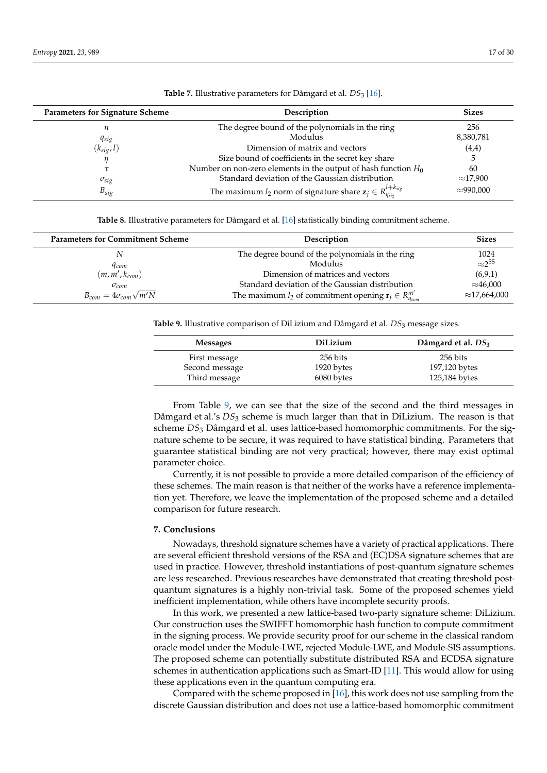<span id="page-16-0"></span>

| <b>Parameters for Signature Scheme</b> | Description                                                                 | <b>Sizes</b>      |
|----------------------------------------|-----------------------------------------------------------------------------|-------------------|
| п                                      | The degree bound of the polynomials in the ring                             | 256               |
| $q_{sig}$                              | Modulus                                                                     | 8,380,781         |
| $(k_{sig}, l)$                         | Dimension of matrix and vectors                                             | (4,4)             |
|                                        | Size bound of coefficients in the secret key share                          |                   |
|                                        | Number on non-zero elements in the output of hash function $H_0$            | 60                |
| $\sigma_{sig}$                         | Standard deviation of the Gaussian distribution                             | $\approx$ 17,900  |
| $B_{sig}$                              | The maximum $l_2$ norm of signature share $z_j \in R_{q_{sig}}^{l+k_{sig}}$ | $\approx$ 990,000 |

Table 7. Illustrative parameters for Dåmgard et al. *DS*<sub>3</sub> [\[16\]](#page-28-3).

**Table 8.** Illustrative parameters for Dåmgard et al. [\[16\]](#page-28-3) statistically binding commitment scheme.

<span id="page-16-1"></span>

| <b>Parameters for Commitment Scheme</b> | Description                                                                 | <b>Sizes</b>         |
|-----------------------------------------|-----------------------------------------------------------------------------|----------------------|
|                                         | The degree bound of the polynomials in the ring                             | 1024                 |
| <i>Acom</i>                             | Modulus                                                                     | $\approx$ 255        |
| $(m, m', k_{com})$                      | Dimension of matrices and vectors                                           | (6,9,1)              |
| $\sigma_{com}$                          | Standard deviation of the Gaussian distribution                             | $\approx$ 46,000     |
| $B_{com} = 4\sigma_{com}\sqrt{m'N}$     | The maximum $l_2$ of commitment opening $\mathbf{r}_j \in R_{q_{com}}^{m'}$ | $\approx$ 17,664,000 |

<span id="page-16-2"></span>**Table 9.** Illustrative comparison of DiLizium and Dåmgard et al. *DS*<sup>3</sup> message sizes.

| <b>Messages</b>                 | DiLizium               | Dåmgard et al. $DS_3$     |
|---------------------------------|------------------------|---------------------------|
| First message<br>Second message | 256 bits<br>1920 bytes | 256 bits<br>197,120 bytes |
| Third message                   | 6080 bytes             | 125,184 bytes             |

From Table [9,](#page-16-2) we can see that the size of the second and the third messages in Dåmgard et al.'s *DS*<sup>3</sup> scheme is much larger than that in DiLizium. The reason is that scheme *DS*<sup>3</sup> Dåmgard et al. uses lattice-based homomorphic commitments. For the signature scheme to be secure, it was required to have statistical binding. Parameters that guarantee statistical binding are not very practical; however, there may exist optimal parameter choice.

Currently, it is not possible to provide a more detailed comparison of the efficiency of these schemes. The main reason is that neither of the works have a reference implementation yet. Therefore, we leave the implementation of the proposed scheme and a detailed comparison for future research.

#### **7. Conclusions**

Nowadays, threshold signature schemes have a variety of practical applications. There are several efficient threshold versions of the RSA and (EC)DSA signature schemes that are used in practice. However, threshold instantiations of post-quantum signature schemes are less researched. Previous researches have demonstrated that creating threshold postquantum signatures is a highly non-trivial task. Some of the proposed schemes yield inefficient implementation, while others have incomplete security proofs.

In this work, we presented a new lattice-based two-party signature scheme: DiLizium. Our construction uses the SWIFFT homomorphic hash function to compute commitment in the signing process. We provide security proof for our scheme in the classical random oracle model under the Module-LWE, rejected Module-LWE, and Module-SIS assumptions. The proposed scheme can potentially substitute distributed RSA and ECDSA signature schemes in authentication applications such as Smart-ID [\[11\]](#page-27-7). This would allow for using these applications even in the quantum computing era.

Compared with the scheme proposed in [\[16\]](#page-28-3), this work does not use sampling from the discrete Gaussian distribution and does not use a lattice-based homomorphic commitment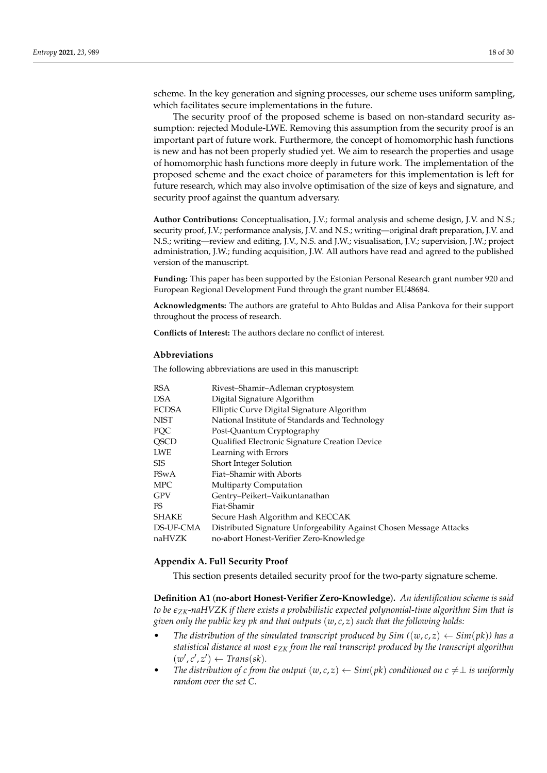scheme. In the key generation and signing processes, our scheme uses uniform sampling, which facilitates secure implementations in the future.

The security proof of the proposed scheme is based on non-standard security assumption: rejected Module-LWE. Removing this assumption from the security proof is an important part of future work. Furthermore, the concept of homomorphic hash functions is new and has not been properly studied yet. We aim to research the properties and usage of homomorphic hash functions more deeply in future work. The implementation of the proposed scheme and the exact choice of parameters for this implementation is left for future research, which may also involve optimisation of the size of keys and signature, and security proof against the quantum adversary.

**Author Contributions:** Conceptualisation, J.V.; formal analysis and scheme design, J.V. and N.S.; security proof, J.V.; performance analysis, J.V. and N.S.; writing—original draft preparation, J.V. and N.S.; writing—review and editing, J.V., N.S. and J.W.; visualisation, J.V.; supervision, J.W.; project administration, J.W.; funding acquisition, J.W. All authors have read and agreed to the published version of the manuscript.

**Funding:** This paper has been supported by the Estonian Personal Research grant number 920 and European Regional Development Fund through the grant number EU48684.

**Acknowledgments:** The authors are grateful to Ahto Buldas and Alisa Pankova for their support throughout the process of research.

**Conflicts of Interest:** The authors declare no conflict of interest.

# **Abbreviations**

The following abbreviations are used in this manuscript:

| <b>RSA</b>   | Rivest-Shamir-Adleman cryptosystem                                  |
|--------------|---------------------------------------------------------------------|
| <b>DSA</b>   | Digital Signature Algorithm                                         |
| <b>ECDSA</b> | Elliptic Curve Digital Signature Algorithm                          |
| <b>NIST</b>  | National Institute of Standards and Technology                      |
| PQC          | Post-Quantum Cryptography                                           |
| <b>QSCD</b>  | Qualified Electronic Signature Creation Device                      |
| <b>LWE</b>   | Learning with Errors                                                |
| <b>SIS</b>   | Short Integer Solution                                              |
| <b>FSwA</b>  | Fiat-Shamir with Aborts                                             |
| <b>MPC</b>   | <b>Multiparty Computation</b>                                       |
| <b>GPV</b>   | Gentry-Peikert-Vaikuntanathan                                       |
| FS           | Fiat-Shamir                                                         |
| <b>SHAKE</b> | Secure Hash Algorithm and KECCAK                                    |
| DS-UF-CMA    | Distributed Signature Unforgeability Against Chosen Message Attacks |
| naHVZK       | no-abort Honest-Verifier Zero-Knowledge                             |

#### <span id="page-17-0"></span>**Appendix A. Full Security Proof**

This section presents detailed security proof for the two-party signature scheme.

**Definition A1** (**no-abort Honest-Verifier Zero-Knowledge**)**.** *An identification scheme is said to be eZK-naHVZK if there exists a probabilistic expected polynomial-time algorithm Sim that is given only the public key pk and that outputs* (*w*, *c*, *z*) *such that the following holds:*

- *The distribution of the simulated transcript produced by*  $Sim((w, c, z) \leftarrow Sim(pk))$  *has a statistical distance at most*  $\epsilon_{ZK}$  *from the real transcript produced by the transcript algorithm*  $(w', c', z') \leftarrow Trans(sk).$
- *The distribution of c from the output*  $(w, c, z) \leftarrow Sim(pk)$  *conditioned on*  $c \neq \perp$  *is uniformly random over the set C.*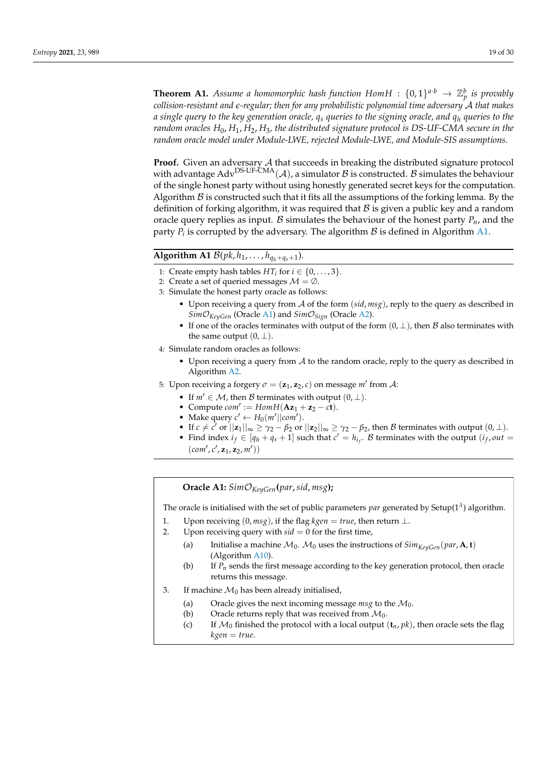**Theorem A1.** Assume a homomorphic hash function  $Hom H$  :  $\{0,1\}^{a \cdot b} \to \mathbb{Z}_p^b$  is provably *collision-resistant and e-regular; then for any probabilistic polynomial time adversary* A *that makes a single query to the key generation oracle, q<sup>s</sup> queries to the signing oracle, and q<sup>h</sup> queries to the random oracles H*0, *H*1, *H*2, *H*3*, the distributed signature protocol is DS-UF-CMA secure in the random oracle model under Module-LWE, rejected Module-LWE, and Module-SIS assumptions.*

**Proof.** Given an adversary A that succeeds in breaking the distributed signature protocol with advantage Adv<sup>DS-UF-CMA</sup>( $A$ ), a simulator  $B$  is constructed. B simulates the behaviour of the single honest party without using honestly generated secret keys for the computation. Algorithm  $\beta$  is constructed such that it fits all the assumptions of the forking lemma. By the definition of forking algorithm, it was required that  $B$  is given a public key and a random oracle query replies as input. B simulates the behaviour of the honest party  $P_n$ , and the party  $P_i$  is corrupted by the adversary. The algorithm  $B$  is defined in Algorithm [A1.](#page-4-0)

# **Algorithm A1**  $\mathcal{B}(pk, h_1, \ldots, h_{q_h+q_s+1}).$

- 1: Create empty hash tables  $HT_i$  for  $i \in \{0, \ldots, 3\}$ .
- 2: Create a set of queried messages  $M = \emptyset$ .
- 3: Simulate the honest party oracle as follows:
	- Upon receiving a query from A of the form (*sid*, *msg*), reply to the query as described in *Sim*O*KeyGen* (Oracle [A1\)](#page-18-0) and *Sim*O*Sign* (Oracle [A2\)](#page-18-1).
	- If one of the oracles terminates with output of the form  $(0, \perp)$ , then B also terminates with the same output  $(0, \perp)$ .
- 4: Simulate random oracles as follows:
	- Upon receiving a query from  $A$  to the random oracle, reply to the query as described in Algorithm [A2.](#page-5-0)
- 5: Upon receiving a forgery  $\sigma = (\mathbf{z}_1, \mathbf{z}_2, c)$  on message  $m'$  from A:
	- If  $m' \in \mathcal{M}$ , then B terminates with output  $(0, \perp)$ .
	- Compute  $com' := HomH(Az_1 + z_2 ct)$ .
	- Make query  $c' \leftarrow H_0(m'||com').$
	- If  $c \neq c'$  or  $||\mathbf{z}_1||_{\infty} \geq \gamma_2 \beta_2$  or  $||\mathbf{z}_2||_{\infty} \geq \gamma_2 \beta_2$ , then B terminates with output  $(0, \perp)$ .
	- Find index  $i_f \in [q_h + q_s + 1]$  such that  $c' = h_{i_f}$ . B terminates with the output  $(i_f, out =$  $\left( {com}',c',\mathbf{z}_1,\mathbf{z}_2,m' \right) \big)$

# <span id="page-18-0"></span>**Oracle A1:** *Sim*O*KeyGen***(***par*,*sid*, *msg***);**

The oracle is initialised with the set of public parameters  $\emph{par}$  generated by Setup(1<sup> $\lambda$ </sup>) algorithm.

- 1. Upon receiving  $(0, msg)$ , if the flag *kgen* = *true*, then return  $\perp$ .
- 2. Upon receiving query with  $sid = 0$  for the first time,
	- (a) Initialise a machine  $M_0$ .  $M_0$  uses the instructions of  $Sim_{KeyGen}(par, \mathbf{A}, \mathbf{t})$ (Algorithm [A10\)](#page-26-0).
	- (b) If *Pn* sends the first message according to the key generation protocol, then oracle returns this message.
- <span id="page-18-1"></span>3. If machine  $\mathcal{M}_0$  has been already initialised,
	- (a) Oracle gives the next incoming message  $msg$  to the  $M_0$ .
	- (b) Oracle returns reply that was received from  $M_0$ .
	- (c) If  $\mathcal{M}_0$  finished the protocol with a local output  $(\mathbf{t}_n, pk)$ , then oracle sets the flag  $kgen = true.$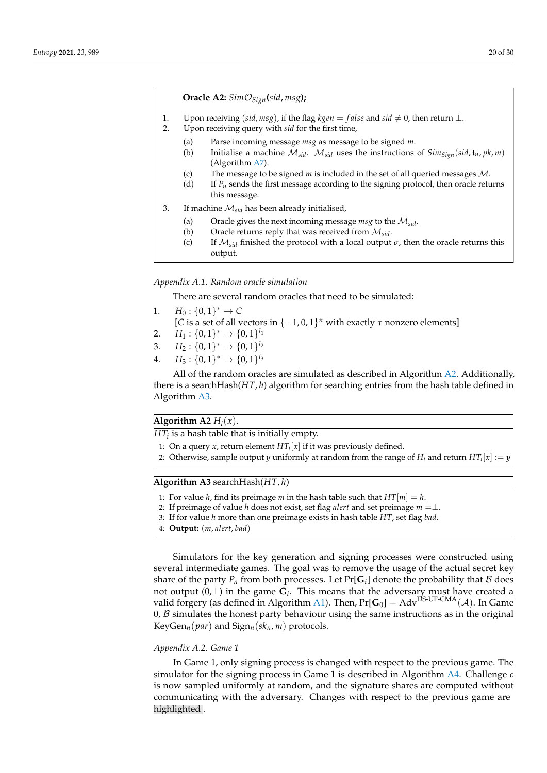**Oracle A2:** *Sim*O*Sign***(***sid*, *msg***);**

- 1. Upon receiving  $(sid, msg)$ , if the flag *kgen* = *false* and  $sid \neq 0$ , then return  $\perp$ .
- 2. Upon receiving query with *sid* for the first time,
	- (a) Parse incoming message *msg* as message to be signed *m*.
	- (b) Initialise a machine  $M_{sid}$ .  $M_{sid}$  uses the instructions of  $Sim_{Sign}(sid, t_n, pk, m)$ (Algorithm [A7\)](#page-23-0).
	- (c) The message to be signed *m* is included in the set of all queried messages M.
	- (d) If *Pn* sends the first message according to the signing protocol, then oracle returns this message.
- 3. If machine M*sid* has been already initialised,
	- (a) Oracle gives the next incoming message *msg* to the M*sid*.
	- (b) Oracle returns reply that was received from  $M_{sid}$ .<br>(c) If  $M_{sid}$  finished the protocol with a local output
	- If  $M_{sid}$  finished the protocol with a local output  $\sigma$ , then the oracle returns this output.

#### *Appendix A.1. Random oracle simulation*

There are several random oracles that need to be simulated:

- 1.  $H_0: \{0,1\}^* \to C$
- [*C* is a set of all vectors in  $\{-1,0,1\}$ <sup>*n*</sup> with exactly  $\tau$  nonzero elements]
- 2.  $H_1: \{0,1\}^* \to \{0,1\}^{l_1}$
- 3.  $H_2: \{0,1\}^* \to \{0,1\}^{l_2}$
- 4.  $H_3: \{0,1\}^* \to \{0,1\}^{l_3}$

All of the random oracles are simulated as described in Algorithm [A2.](#page-5-0) Additionally, there is a searchHash(*HT*, *h*) algorithm for searching entries from the hash table defined in Algorithm [A3.](#page-5-1)

# **Algorithm A2**  $H_i(x)$ .

 $HT_i$  is a hash table that is initially empty.

- 1: On a query *x*, return element  $HT_i[x]$  if it was previously defined.
- 2: Otherwise, sample output *y* uniformly at random from the range of  $H_i$  and return  $HT_i[x] := y$

# **Algorithm A3** searchHash(*HT*, *h*)

- 1: For value *h*, find its preimage *m* in the hash table such that  $HT[m] = h$ .
- 2: If preimage of value *h* does not exist, set flag *alert* and set preimage  $m = \perp$ .
- 3: If for value *h* more than one preimage exists in hash table *HT*, set flag *bad*.
- 4: **Output:** (*m*, *alert*, *bad*)

Simulators for the key generation and signing processes were constructed using several intermediate games. The goal was to remove the usage of the actual secret key share of the party  $P_n$  from both processes. Let  $Pr[G_i]$  denote the probability that  $\mathcal B$  does not output  $(0, \perp)$  in the game  $G_i$ . This means that the adversary must have created a valid forgery (as defined in Algorithm [A1\)](#page-4-0). Then,  $Pr[G_0] = Adv<sup>DS-UF-CMA</sup>(A)$ . In Game  $0, B$  simulates the honest party behaviour using the same instructions as in the original KeyGen<sub>n</sub>( $par$ ) and Sign<sub>n</sub>( $sk_n$ , *m*) protocols.

## *Appendix A.2. Game 1*

In Game 1, only signing process is changed with respect to the previous game. The simulator for the signing process in Game 1 is described in Algorithm [A4.](#page-6-1) Challenge *c* is now sampled uniformly at random, and the signature shares are computed without communicating with the adversary. Changes with respect to the previous game are highlighted .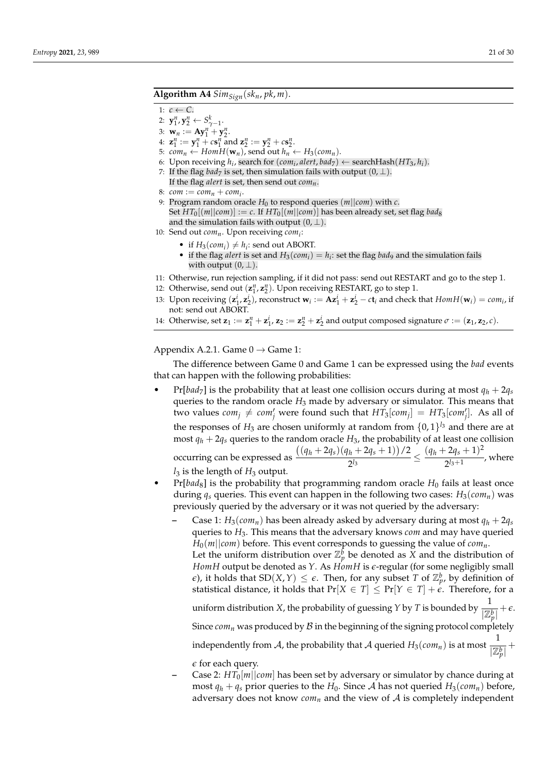# Algorithm A4  $Sim_{Sign}(sk_n, pk, m)$ .

- 1:  $c \leftarrow C$ .
- 2:  $y_1^n, y_2^n \leftarrow S_{\gamma-1}^k$ .
- 3:  $w_n := Ay_1^n + y_2^n$ .
- 4:  $\mathbf{z}_1^n := \mathbf{y}_1^n + c\mathbf{s}_1^n$  and  $\mathbf{z}_2^n := \mathbf{y}_2^n + c\mathbf{s}_2^n$ .
- 5:  $com_n \leftarrow Hom\overline{H(\mathbf{w}_n)}$ , send out  $h_n \leftarrow H_3(com_n)$ .
- 6: Upon receiving  $h_i$ , search for  $(\textit{com}_i, \textit{alet}, \textit{bad}_7) \leftarrow \text{searchHash}(HT_3, h_i)$ .
- 7: If the flag *bad*<sub>7</sub> is set, then simulation fails with output  $(0, \perp)$ . If the flag *alert* is set, then send out *comn*.
- 8:  $com := com_n + com_i$ .
- 9: Program random oracle  $H_0$  to respond queries  $(m||com)$  with  $c$ . Set  $HT_0[(m||com)] := c$ . If  $HT_0[(m||com)]$  has been already set, set flag *bad*<sub>8</sub> and the simulation fails with output  $(0, \perp)$ .
- 10: Send out *comn*. Upon receiving *com<sup>i</sup>* :
	- if  $H_3(\text{com}_i) \neq h_i$ : send out ABORT.
	- if the flag *alert* is set and  $H_3(\text{com}_i) = h_i$ : set the flag *bad*<sub>9</sub> and the simulation fails with output  $(0, \perp)$ .
- 11: Otherwise, run rejection sampling, if it did not pass: send out RESTART and go to the step 1.
- 12: Otherwise, send out  $(\mathbf{z}_1^n, \mathbf{z}_2^n)$ . Upon receiving RESTART, go to step 1.
- 13: Upon receiving  $(\mathbf{z}_1^i, \mathbf{z}_2^i)$ , reconstruct  $\mathbf{w}_i := \mathbf{A}\mathbf{z}_1^i + \mathbf{z}_2^i c\mathbf{t}_i$  and check that  $Hom H(\mathbf{w}_i) = com_i$ , if not: send out ABORT.
- 14: Otherwise, set  $\mathbf{z}_1 := \mathbf{z}_1^n + \mathbf{z}_1^i$ ,  $\mathbf{z}_2 := \mathbf{z}_2^n + \mathbf{z}_2^i$  and output composed signature  $\sigma := (\mathbf{z}_1, \mathbf{z}_2, c)$ .

Appendix A.2.1. Game  $0 \rightarrow$  Game 1:

The difference between Game 0 and Game 1 can be expressed using the *bad* events that can happen with the following probabilities:

 $Pr[bad_7]$  is the probability that at least one collision occurs during at most  $q_h + 2q_s$ queries to the random oracle *H*<sub>3</sub> made by adversary or simulator. This means that  $\mu$  two values  $com_j \neq com'_j$  were found such that  $HT_3[com_j] = HT_3[com'_j]$ . As all of the responses of  $H_3$  are chosen uniformly at random from  $\{0,1\}^{l_3}$  and there are at most  $q_h + 2q_s$  queries to the random oracle  $H_3$ , the probability of at least one collision occurring can be expressed as  $((q_h + 2q_s)(q_h + 2q_s + 1))/2$  $\frac{(q_h+2q_s+1)}{2^{l_3}} \leq \frac{(q_h+2q_s+1)^2}{2^{l_3+1}}$  $\frac{1}{2^{l_3+1}}$ , where

 $l_3$  is the length of  $H_3$  output.

- $Pr[bad_8]$  is the probability that programming random oracle  $H_0$  fails at least once during *q<sup>s</sup>* queries. This event can happen in the following two cases: *H*3(*comn*) was previously queried by the adversary or it was not queried by the adversary:
	- Case 1:  $H_3$ (*com*<sub>*n*</sub>) has been already asked by adversary during at most  $q_h + 2q_s$ queries to *H*3. This means that the adversary knows *com* and may have queried  $H_0(m||com)$  before. This event corresponds to guessing the value of  $com_n$ . Let the uniform distribution over  $\mathbb{Z}_p^{\hat{b}}$  be denoted as  $\bar{X}$  and the distribution of *HomH* output be denoted as *Y*. As *HomH* is *e*-regular (for some negligibly small *e*), it holds that  $SD(X, Y) \leq \epsilon$ . Then, for any subset *T* of  $\mathbb{Z}_{p}^{b}$ , by definition of statistical distance, it holds that  $Pr[X \in T] \leq Pr[Y \in T] + \epsilon$ . Therefore, for a uniform distribution *X*, the probability of guessing *Y* by *T* is bounded by  $\frac{1}{177}$  $\frac{1}{|\mathbb{Z}_p^b|} + \epsilon.$ Since  $com_n$  was produced by  $B$  in the beginning of the signing protocol completely independently from  $\mathcal A$ , the probability that  $\mathcal A$  queried  $H_3(\mathit{com}_n)$  is at most  $\frac{1}{|\mathcal A|}$  $\frac{1}{|\mathbb{Z}_p^b|}$  +

*e* for each query.

**–** Case 2: *HT*0[*m*||*com*] has been set by adversary or simulator by chance during at most  $q_h + q_s$  prior queries to the  $H_0$ . Since A has not queried  $H_3(\text{com}_n)$  before, adversary does not know  $com_n$  and the view of  $A$  is completely independent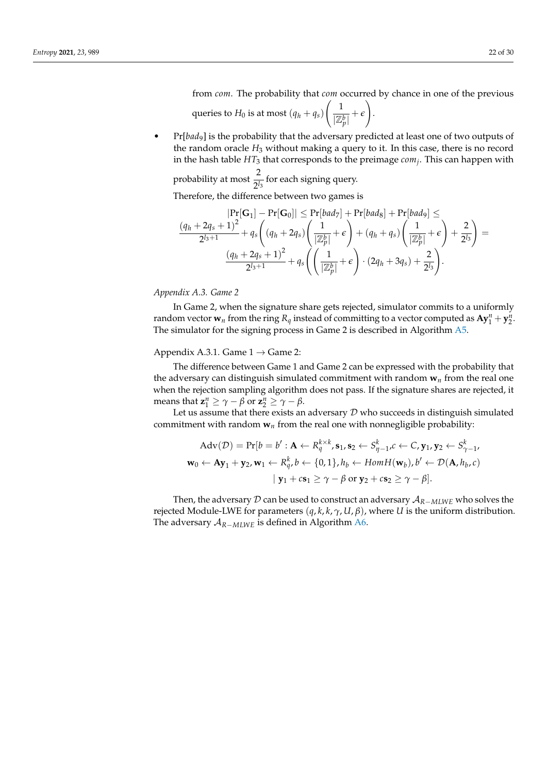from *com*. The probability that *com* occurred by chance in one of the previous queries to  $H_0$  is at most  $(q_h + q_s)$  $\begin{pmatrix} 1 \end{pmatrix}$  $\frac{1}{|\mathbb{Z}_p^b|} + \epsilon$  $\setminus$ .

• Pr[*bad*9] is the probability that the adversary predicted at least one of two outputs of the random oracle *H*<sup>3</sup> without making a query to it. In this case, there is no record in the hash table *HT*<sup>3</sup> that corresponds to the preimage *com<sup>j</sup>* . This can happen with

probability at most  $\frac{2}{\gamma}$  $\frac{1}{2^{l_3}}$  for each signing query.

Therefore, the difference between two games is

$$
|\Pr[\mathbf{G}_1] - \Pr[\mathbf{G}_0]| \leq \Pr[bad_7] + \Pr[bad_8] + \Pr[bad_9] \leq
$$
  

$$
\frac{(q_h + 2q_s + 1)^2}{2^{l_3+1}} + q_s \left( (q_h + 2q_s) \left( \frac{1}{|\mathbb{Z}_p^b|} + \epsilon \right) + (q_h + q_s) \left( \frac{1}{|\mathbb{Z}_p^b|} + \epsilon \right) + \frac{2}{2^{l_3}} \right) =
$$
  

$$
\frac{(q_h + 2q_s + 1)^2}{2^{l_3+1}} + q_s \left( \left( \frac{1}{|\mathbb{Z}_p^b|} + \epsilon \right) \cdot (2q_h + 3q_s) + \frac{2}{2^{l_3}} \right).
$$

*Appendix A.3. Game 2*

In Game 2, when the signature share gets rejected, simulator commits to a uniformly random vector  $w_n$  from the ring  $R_q$  instead of committing to a vector computed as  $Ay_1^n + y_2^n$ . The simulator for the signing process in Game 2 is described in Algorithm [A5.](#page-6-0)

Appendix A.3.1. Game  $1 \rightarrow$  Game 2:

The difference between Game 1 and Game 2 can be expressed with the probability that the adversary can distinguish simulated commitment with random  $w_n$  from the real one when the rejection sampling algorithm does not pass. If the signature shares are rejected, it means that  $\mathbf{z}_1^n \ge \gamma - \beta$  or  $\mathbf{z}_2^n \ge \gamma - \beta$ .

Let us assume that there exists an adversary  $D$  who succeeds in distinguish simulated commitment with random  $w_n$  from the real one with nonnegligible probability:

$$
\begin{aligned}\n\text{Adv}(\mathcal{D}) &= \Pr[b = b' : \mathbf{A} \leftarrow R_q^{k \times k}, \mathbf{s}_1, \mathbf{s}_2 \leftarrow S_{\eta-1}^k, c \leftarrow C, \mathbf{y}_1, \mathbf{y}_2 \leftarrow S_{\gamma-1}^k, \\
\mathbf{w}_0 &\leftarrow \mathbf{A}\mathbf{y}_1 + \mathbf{y}_2, \mathbf{w}_1 \leftarrow R_q^k, b \leftarrow \{0, 1\}, h_b \leftarrow \text{Hom}H(\mathbf{w}_b), b' \leftarrow \mathcal{D}(\mathbf{A}, h_b, c) \\
&\quad |\mathbf{y}_1 + c\mathbf{s}_1 \geq \gamma - \beta \text{ or } \mathbf{y}_2 + c\mathbf{s}_2 \geq \gamma - \beta].\n\end{aligned}
$$

Then, the adversary D can be used to construct an adversary A*R*−*MLWE* who solves the rejected Module-LWE for parameters (*q*, *k*, *k*, *γ*, *U*, *β*), where *U* is the uniform distribution. The adversary A*R*−*MLWE* is defined in Algorithm [A6.](#page-10-0)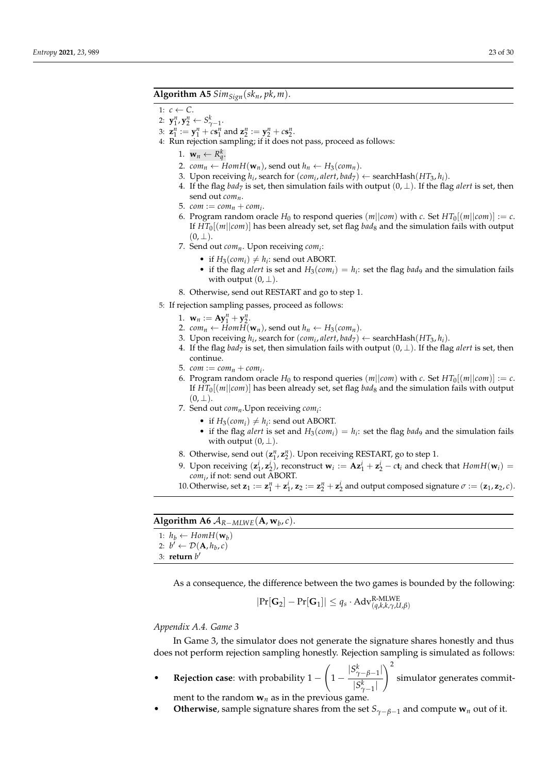# Algorithm A5  $Sim_{Sign}(sk_n, pk, m)$ .

- 1:  $c \leftarrow C$ .
- 2:  $y_1^n, y_2^n \leftarrow S_{\gamma-1}^k$ .
- 3:  $z_1^n := y_1^n + cs_1^n$  and  $z_2^n := y_2^n + cs_2^n$ .
- 4: Run rejection sampling; if it does not pass, proceed as follows:
	- 1.  $\mathbf{w}_n \leftarrow R_q^k$ .
	- 2.  $com_n \leftarrow HomH(\mathbf{w}_n)$ , send out  $h_n \leftarrow H_3(com_n)$ .
	- 3. Upon receiving  $h_i$ , search for  $(\textit{com}_i, \textit{alet}, \textit{bad}_7) \leftarrow \text{searchHash}(HT_3, h_i)$ .
	- 4. If the flag *bad*<sub>7</sub> is set, then simulation fails with output  $(0, \perp)$ . If the flag *alert* is set, then send out *comn*.
	- 5.  $com := com_n + com_i$ .
	- 6. Program random oracle  $H_0$  to respond queries  $(m||com)$  with *c*. Set  $HT_0[(m||com)] := c$ . If  $HT_0[(m||com)]$  has been already set, set flag *bad*<sub>8</sub> and the simulation fails with output  $(0, \perp)$ .
	- 7. Send out *comn*. Upon receiving *com<sup>i</sup>* :
		- if  $H_3(\text{com}_i) \neq h_i$ : send out ABORT.
		- if the flag *alert* is set and  $H_3(com_i) = h_i$ : set the flag *bad*9 and the simulation fails with output  $(0, \perp)$ .
	- 8. Otherwise, send out RESTART and go to step 1.
- 5: If rejection sampling passes, proceed as follows:
	- 1.  $w_n := Ay_1^n + y_2^n$ .
	- 2.  $com_n \leftarrow Hom\overline{H}(\mathbf{w}_n)$ , send out  $h_n \leftarrow H_3(com_n)$ .
	- 3. Upon receiving  $h_i$ , search for  $(\textit{com}_i, \textit{alert}, \textit{bad}_7) \leftarrow \text{searchHash}(HT_3, h_i)$ .
	- 4. If the flag *bad*<sub>7</sub> is set, then simulation fails with output  $(0, \perp)$ . If the flag *alert* is set, then continue.
	- 5.  $com := com_n + com_i$ .
	- 6. Program random oracle  $H_0$  to respond queries  $(m||com)$  with *c*. Set  $HT_0[(m||com)] := c$ . If  $HT_0[(m||com)]$  has been already set, set flag *bad*<sub>8</sub> and the simulation fails with output  $(0, \perp)$ .
	- 7. Send out *comn*.Upon receiving *com<sup>i</sup>* :
		- if  $H_3(\text{com}_i) \neq h_i$ : send out ABORT.
		- if the flag *alert* is set and  $H_3(com_i) = h_i$ : set the flag *bad*<sup>9</sup> and the simulation fails with output  $(0, \perp)$ .
	- 8. Otherwise, send out  $(\mathbf{z}_1^n, \mathbf{z}_2^n)$ . Upon receiving RESTART, go to step 1.
	- 9. Upon receiving  $(\mathbf{z}_1^i, \mathbf{z}_2^i)$ , reconstruct  $\mathbf{w}_i := \mathbf{A}\mathbf{z}_1^i + \mathbf{z}_2^i c\mathbf{t}_i$  and check that  $Hom H(\mathbf{w}_i)$ *com<sup>i</sup>* , if not: send out ABORT.
	- 10. Otherwise, set  $\mathbf{z}_1 := \mathbf{z}_1^n + \mathbf{z}_1^i$ ,  $\mathbf{z}_2 := \mathbf{z}_2^n + \mathbf{z}_2^i$  and output composed signature  $\sigma := (\mathbf{z}_1, \mathbf{z}_2, c)$ .

# **Algorithm A6**  $A_{R-MLWE}(\textbf{A}, \textbf{w}_b, c)$ .

| 1: $h_h \leftarrow \text{Hom}_{H}(\mathbf{w}_h)$   |
|----------------------------------------------------|
| 2: $b' \leftarrow \mathcal{D}(\mathbf{A}, h_b, c)$ |

3: **return** *b* 0

As a consequence, the difference between the two games is bounded by the following:

$$
|\Pr[\mathbf{G}_2] - \Pr[\mathbf{G}_1]| \leq q_s \cdot \mathrm{Adv}_{(q,k,k,\gamma,U,\beta)}^{\mathrm{R\text{-}MLWE}}
$$

### *Appendix A.4. Game 3*

In Game 3, the simulator does not generate the signature shares honestly and thus does not perform rejection sampling honestly. Rejection sampling is simulated as follows:

- **Rejection case**: with probability 1 −  $\sqrt{ }$ 1 −  $|S^k_{\gamma-\beta-1}|$  $|S_{\gamma-1}^k|$  $\setminus^2$ simulator generates commit
	- ment to the random  $w_n$  as in the previous game.
- **Otherwise**, sample signature shares from the set  $S_{\gamma-\beta-1}$  and compute  $w_n$  out of it.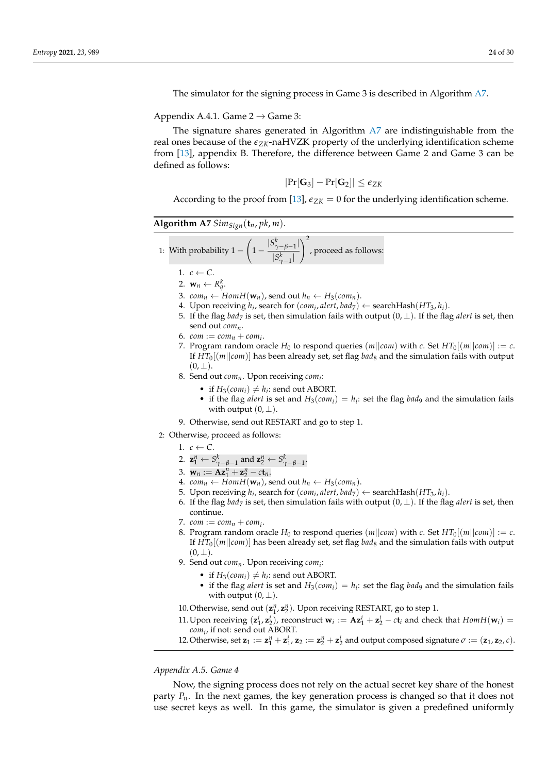The simulator for the signing process in Game 3 is described in Algorithm [A7.](#page-23-0)

Appendix A.4.1. Game  $2 \rightarrow$  Game 3:

The signature shares generated in Algorithm [A7](#page-23-0) are indistinguishable from the real ones because of the *eZK*-naHVZK property of the underlying identification scheme from [\[13\]](#page-28-0), appendix B. Therefore, the difference between Game 2 and Game 3 can be defined as follows:

$$
|\text{Pr}[\textbf{G}_3]-\text{Pr}[\textbf{G}_2]|\leq \epsilon_{ZK}
$$

According to the proof from [\[13\]](#page-28-0),  $\varepsilon_{ZK} = 0$  for the underlying identification scheme.

<span id="page-23-0"></span>**Algorithm A7**  $Sim_{Sign}(\mathbf{t}_n, pk, m)$ .

1: With probability 
$$
1 - \left(1 - \frac{|S^k_{\gamma-\beta-1}|}{|S^k_{\gamma-1}|}\right)^2
$$
, proceed as follows:

- 1.  $c \leftarrow C$ .
- 2.  $\mathbf{w}_n \leftarrow R_q^k$ .
- 3. *com*<sub>n</sub> ← *HomH*( $w_n$ ), send out  $h_n$  ←  $H_3$ ( $com_n$ ).
- 4. Upon receiving  $h_i$ , search for  $(\textit{com}_i, \textit{alert}, \textit{bad}_7) \leftarrow \text{searchHash}(HT_3, h_i)$ .
- 5. If the flag *bad*<sub>7</sub> is set, then simulation fails with output  $(0, \perp)$ . If the flag *alert* is set, then send out *comn*.
- $6.$   $com := com_n + com_i.$
- 7. Program random oracle  $H_0$  to respond queries  $(m||com)$  with  $c$ . Set  $HT_0[(m||com)] := c$ . If *HT*0[(*m*||*com*)] has been already set, set flag *bad*<sup>8</sup> and the simulation fails with output  $(0, \perp)$ .
- 8. Send out *comn*. Upon receiving *com<sup>i</sup>* :
	- if  $H_3(\text{com}_i) \neq h_i$ : send out ABORT.
	- if the flag *alert* is set and  $H_3(com_i) = h_i$ : set the flag *bad*9 and the simulation fails with output  $(0, \perp)$ .
- 9. Otherwise, send out RESTART and go to step 1.
- 2: Otherwise, proceed as follows:
	- 1.  $c \leftarrow C$ .
	- 2.  $\mathbf{z}_1^n \leftarrow S_{\gamma-\beta-1}^k$  and  $\mathbf{z}_2^n \leftarrow S_{\gamma-\beta-1}^k$ .
	- 3.  $w_n := Ax_1^n + z_2^n ct_n$ .
	- 4.  $com_n \leftarrow HomH(\mathbf{w}_n)$ , send out  $h_n \leftarrow H_3(com_n)$ .
	- 5. Upon receiving  $h_i$ , search for  $(\textit{com}_i, \textit{alert}, \textit{bad}_7) \leftarrow \text{searchHash}(HT_3, h_i)$ .
	- 6. If the flag *bad*<sub>7</sub> is set, then simulation fails with output  $(0, \perp)$ . If the flag *alert* is set, then continue.
	- 7.  $com := com_n + com_i$ .
	- 8. Program random oracle  $H_0$  to respond queries  $(m||com)$  with  $c$ . Set  $HT_0[(m||com)] := c$ . If *HT*0[(*m*||*com*)] has been already set, set flag *bad*<sup>8</sup> and the simulation fails with output  $(0, \perp)$ .
	- 9. Send out *comn*. Upon receiving *com<sup>i</sup>* :
		- if  $H_3(\text{com}_i) \neq h_i$ : send out ABORT.
			- if the flag *alert* is set and  $H_3(com_i) = h_i$ : set the flag *bad*9 and the simulation fails with output  $(0, \perp)$ .
	- 10. Otherwise, send out  $(\mathbf{z}_1^n, \mathbf{z}_2^n)$ . Upon receiving RESTART, go to step 1.
	- 11. Upon receiving  $(\mathbf{z}_1^i, \mathbf{z}_2^i)$ , reconstruct  $\mathbf{w}_i := \mathbf{A}\mathbf{z}_1^i + \mathbf{z}_2^i c\mathbf{t}_i$  and check that  $Hom H(\mathbf{w}_i)$ *com<sup>i</sup>* , if not: send out ABORT.
	- 12. Otherwise, set  $\mathbf{z}_1 := \mathbf{z}_1^n + \mathbf{z}_1^i$ ,  $\mathbf{z}_2 := \mathbf{z}_2^n + \mathbf{z}_2^i$  and output composed signature  $\sigma := (\mathbf{z}_1, \mathbf{z}_2, c)$ .

*Appendix A.5. Game 4*

Now, the signing process does not rely on the actual secret key share of the honest party *Pn*. In the next games, the key generation process is changed so that it does not use secret keys as well. In this game, the simulator is given a predefined uniformly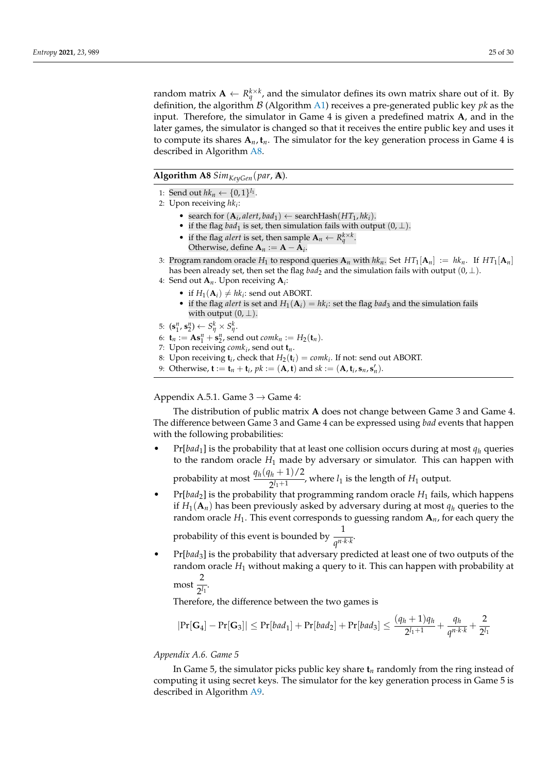random matrix  $A \leftarrow R_q^{k \times k}$ , and the simulator defines its own matrix share out of it. By definition, the algorithm B (Algorithm [A1\)](#page-4-0) receives a pre-generated public key *pk* as the input. Therefore, the simulator in Game 4 is given a predefined matrix **A**, and in the later games, the simulator is changed so that it receives the entire public key and uses it to compute its shares  $A_n$ ,  $t_n$ . The simulator for the key generation process in Game 4 is described in Algorithm [A8.](#page-24-0)

<span id="page-24-0"></span>**Algorithm A8** *SimKeyGen*(*par*, **A**).

- 1: Send out  $hk_n \leftarrow \{0, 1\}^{l_1}$ .
- 2: Upon receiving *hk<sup>i</sup>* :
	- search for  $(A_i, \text{alert}, \text{bad}_1) \leftarrow \text{searchHash}(HT_1, \text{hk}_i)$ .
	- if the flag *bad*<sup>1</sup> is set, then simulation fails with output  $(0, \perp)$ .
	- if the flag *alert* is set, then sample  $\mathbf{A}_n \leftarrow R_q^{k \times k}$ . Otherwise, define  $A_n := A - A_i$ .
- 3: Program random oracle  $H_1$  to respond queries  $\mathbf{A}_n$  with  $hk_n$ . Set  $HT_1[\mathbf{A}_n] := hk_n$ . If  $HT_1[\mathbf{A}_n]$ has been already set, then set the flag *bad*<sub>2</sub> and the simulation fails with output  $(0, \perp)$ .
- 4: Send out **A***n*. Upon receiving **A***<sup>i</sup>* :
	- if  $H_1(\mathbf{A}_i) \neq hk_i$ : send out ABORT.
	- if the flag *alert* is set and  $H_1(A_i) = hk_i$ : set the flag *bad*<sub>3</sub> and the simulation fails with output  $(0, \perp)$ .
- 5:  $(\mathbf{s}_1^n, \mathbf{s}_2^n) \leftarrow S_\eta^k \times S_\eta^k$ .
- 6:  $\mathbf{t}_n := \mathbf{As}_1^n + \mathbf{s}_2^n$ , send out  $comk_n := H_2(\mathbf{t}_n)$ .
- 7: Upon receiving *comk<sup>i</sup>* , send out **t***n*.
- 8: Upon receiving  $\mathbf{t}_i$ , check that  $H_2(\mathbf{t}_i) = \text{coml}_i$ . If not: send out ABORT.
- 9: Otherwise,  $\mathbf{t} := \mathbf{t}_n + \mathbf{t}_i$ ,  $pk := (\mathbf{A}, \mathbf{t})$  and  $sk := (\mathbf{A}, \mathbf{t}_i, \mathbf{s}_n, \mathbf{s}'_n)$ .

Appendix A.5.1. Game  $3 \rightarrow$  Game 4:

The distribution of public matrix **A** does not change between Game 3 and Game 4. The difference between Game 3 and Game 4 can be expressed using *bad* events that happen with the following probabilities:

- $Pr[bad_1]$  is the probability that at least one collision occurs during at most  $q_h$  queries to the random oracle *H*<sup>1</sup> made by adversary or simulator. This can happen with probability at most  $\frac{q_h(q_h+1)/2}{2^{h+1}}$  $\frac{n}{2^{l_1+1}}$ , where  $l_1$  is the length of  $H_1$  output.
- Pr[*bad*2] is the probability that programming random oracle *H*<sup>1</sup> fails, which happens if  $H_1(\mathbf{A}_n)$  has been previously asked by adversary during at most  $q_h$  queries to the random oracle  $H_1$ . This event corresponds to guessing random  $A_n$ , for each query the

probability of this event is bounded by  $\frac{1}{\sqrt{n}}$  $\overline{q^{n \cdot k \cdot k}}$ 

• Pr[*bad*3] is the probability that adversary predicted at least one of two outputs of the random oracle *H*<sup>1</sup> without making a query to it. This can happen with probability at 2

 $\frac{1}{2^{l_1}}$ .

Therefore, the difference between the two games is

$$
|\Pr[\mathbf{G}_4] - \Pr[\mathbf{G}_3]| \leq \Pr[bad_1] + \Pr[bad_2] + \Pr[bad_3] \leq \frac{(q_h+1)q_h}{2^{l_1+1}} + \frac{q_h}{q^{n\cdot k \cdot k}} + \frac{2}{2^{l_1}}
$$

## *Appendix A.6. Game 5*

In Game 5, the simulator picks public key share **t***n* randomly from the ring instead of computing it using secret keys. The simulator for the key generation process in Game 5 is described in Algorithm [A9.](#page-25-0)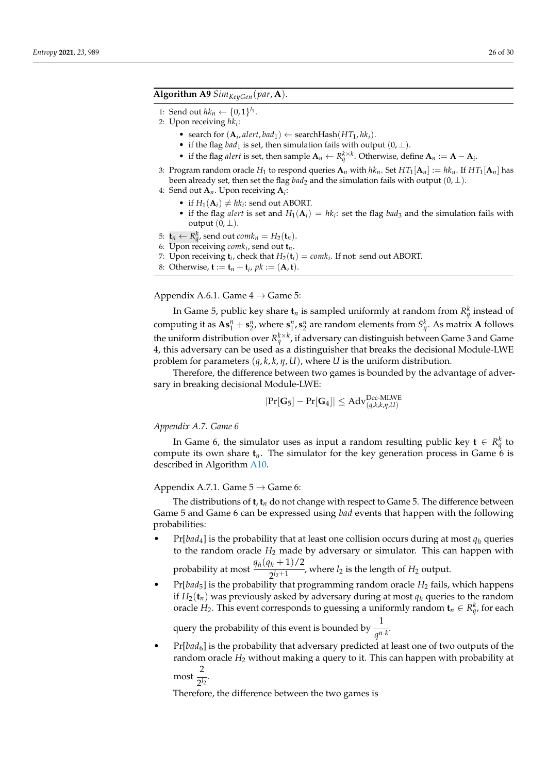# <span id="page-25-0"></span>**Algorithm A9** *SimKeyGen*(*par*, **A**).

- 1: Send out  $hk_n \leftarrow \{0, 1\}^{l_1}$ .
- 2: Upon receiving *hk<sup>i</sup>* :
	- search for  $(A_i, \text{alert}, \text{bad}_1) \leftarrow \text{searchHash}(HT_1, \text{hk}_i)$ .
	- if the flag *bad*<sup>1</sup> is set, then simulation fails with output  $(0, \perp)$ .
	- if the flag *alert* is set, then sample  $\mathbf{A}_n \leftarrow R_q^{k \times k}$ . Otherwise, define  $\mathbf{A}_n := \mathbf{A} \mathbf{A}_i$ .
- 3: Program random oracle  $H_1$  to respond queries  $\mathbf{A}_n$  with  $hk_n$ . Set  $HT_1[\mathbf{A}_n]:=hk_n$ . If  $HT_1[\mathbf{A}_n]$  has been already set, then set the flag *bad*<sub>2</sub> and the simulation fails with output  $(0, \perp)$ .
- 4: Send out **A***n*. Upon receiving **A***<sup>i</sup>* :
	- if  $H_1(\mathbf{A}_i) \neq hk_i$ : send out ABORT.
	- if the flag *alert* is set and  $H_1(A_i) = hk_i$ : set the flag *bad*<sub>3</sub> and the simulation fails with output  $(0, \perp)$ .
- 5:  $\mathbf{t}_n \leftarrow R_q^k$ , send out  $comk_n = H_2(\mathbf{t}_n)$ .
- 6: Upon receiving *comk<sup>i</sup>* , send out **t***n*.
- 7: Upon receiving  $\mathbf{t}_i$ , check that  $H_2(\mathbf{t}_i) = \text{coml}_i$ . If not: send out ABORT.
- 8: Otherwise, **t** := **t**<sub>*n*</sub> + **t**<sub>*i*</sub>, *pk* := (**A**, **t**).

Appendix A.6.1. Game  $4 \rightarrow$  Game 5:

In Game 5, public key share  $\mathbf{t}_n$  is sampled uniformly at random from  $R_q^k$  instead of computing it as  $As_1^n + s_2^n$ , where  $s_1^n$ ,  $s_2^n$  are random elements from  $S_n^k$ . As matrix **A** follows the uniform distribution over  $R_q^{k\times k}$ , if adversary can distinguish between Game 3 and Game 4, this adversary can be used as a distinguisher that breaks the decisional Module-LWE problem for parameters (*q*, *k*, *k*, *η*, *U*), where *U* is the uniform distribution.

Therefore, the difference between two games is bounded by the advantage of adversary in breaking decisional Module-LWE:

$$
|\mathrm{Pr}[\mathbf{G}_5]-\mathrm{Pr}[\mathbf{G}_4]| \leq \mathrm{Adv}_{(q,k,k,\eta,U)}^{\mathrm{Dec-MLWE}}
$$

## *Appendix A.7. Game 6*

In Game 6, the simulator uses as input a random resulting public key  $\mathbf{t} \in R^k_q$  to compute its own share  $t_n$ . The simulator for the key generation process in Game  $\ddot{\text{o}}$  is described in Algorithm [A10.](#page-26-0)

Appendix A.7.1. Game  $5 \rightarrow$  Game 6:

The distributions of  $\mathbf{t}, \mathbf{t}_n$  do not change with respect to Game 5. The difference between Game 5 and Game 6 can be expressed using *bad* events that happen with the following probabilities:

 $Pr[bad_4]$  is the probability that at least one collision occurs during at most  $q_h$  queries to the random oracle  $H_2$  made by adversary or simulator. This can happen with

probability at most  $\frac{q_h(q_h+1)/2}{2^{h+1}}$  $\frac{n}{2^{l_2+1}}$ , where  $l_2$  is the length of  $H_2$  output.

• Pr[*bad*5] is the probability that programming random oracle *H*<sup>2</sup> fails, which happens if  $H_2(\mathbf{t}_n)$  was previously asked by adversary during at most  $q_h$  queries to the random oracle  $H_2$ . This event corresponds to guessing a uniformly random  $\mathbf{t}_n \in R^k_q$ , for each

query the probability of this event is bounded by  $\frac{1}{10}$  $\overline{q^{n\cdot k}}$ 

Pr[bad<sub>6</sub>] is the probability that adversary predicted at least one of two outputs of the random oracle *H*<sub>2</sub> without making a query to it. This can happen with probability at  $\frac{2}{\sqrt{2}}$ 

 $\frac{1}{2^{l_2}}$ 

Therefore, the difference between the two games is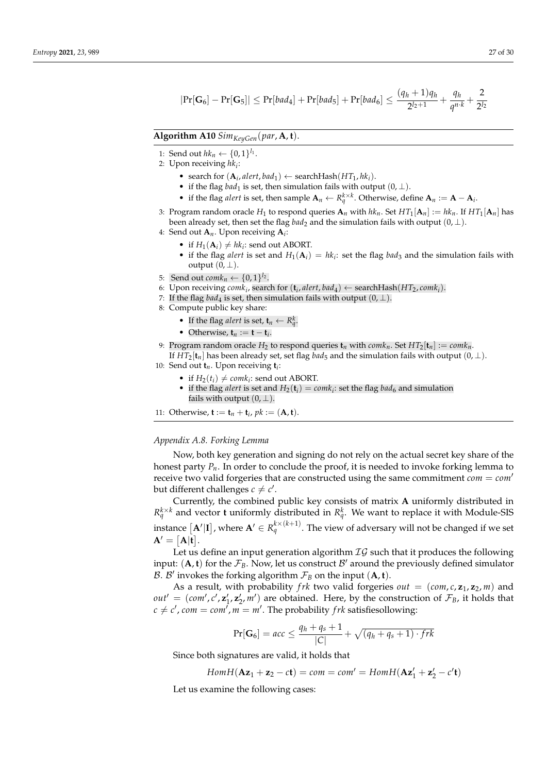$$
|\Pr[\mathbf{G}_6]-\Pr[\mathbf{G}_5]| \leq \Pr[bad_4] + \Pr[bad_5] + \Pr[bad_6] \leq \frac{(q_h+1)q_h}{2^{l_2+1}} + \frac{q_h}{q^{n \cdot k}} + \frac{2}{2^{l_2}}
$$

# <span id="page-26-0"></span>**Algorithm A10** *SimKeyGen*(*par*, **A**, **t**).

- 1: Send out  $hk_n \leftarrow \{0, 1\}^{l_1}$ .
- 2: Upon receiving *hk<sup>i</sup>* :
	- search for  $(A_i, \text{alert}, \text{bad}_1) \leftarrow \text{searchHash}(HT_1, \text{hk}_i)$ .
	- if the flag *bad*<sup>1</sup> is set, then simulation fails with output  $(0, \perp)$ .
	- if the flag *alert* is set, then sample  $\mathbf{A}_n \leftarrow R_q^{k \times k}$ . Otherwise, define  $\mathbf{A}_n := \mathbf{A} \mathbf{A}_i$ .
- 3: Program random oracle  $H_1$  to respond queries  $\mathbf{A}_n$  with  $hk_n$ . Set  $HT_1[\mathbf{A}_n]:=hk_n$ . If  $HT_1[\mathbf{A}_n]$  has been already set, then set the flag *bad*<sub>2</sub> and the simulation fails with output  $(0, \perp)$ .

4: Send out **A***n*. Upon receiving **A***<sup>i</sup>* :

- if  $H_1(\mathbf{A}_i) \neq hk_i$ : send out ABORT.
- if the flag *alert* is set and  $H_1(A_i) = hk_i$ : set the flag *bad*<sub>3</sub> and the simulation fails with output  $(0, \perp)$ .
- 5: Send out  $\textit{comk}_n \leftarrow \{0, 1\}^{l_2}$ .
- 6: Upon receiving  $comk_i$ , search for  $(\mathbf{t}_i, alert, bad_4) \leftarrow searchHash(HT_2, comk_i)$ .
- 7: If the flag *bad*<sub>4</sub> is set, then simulation fails with output  $(0, \perp)$ .
- 8: Compute public key share:
	- If the flag *alert* is set,  $\mathbf{t}_n \leftarrow R_q^k$ .
	- Otherwise,  $\mathbf{t}_n := \mathbf{t} \mathbf{t}_i$ .

9: Program random oracle  $H_2$  to respond queries  $\mathbf{t}_n$  with  $\text{com}_n$ . Set  $HT_2[\mathbf{t}_n] := \text{com}_n \mathbf{t}_n$ . If  $HT_2[t_n]$  has been already set, set flag *bad*<sub>5</sub> and the simulation fails with output  $(0, \perp)$ .

10: Send out **t***n*. Upon receiving **t***<sup>i</sup>* :

- if  $H_2(t_i) \neq \text{com}k_i$ : send out ABORT.
- if the flag *alert* is set and  $H_2(\mathbf{t}_i) = \text{com} k_i$ : set the flag *bad*<sub>6</sub> and simulation fails with output  $(0, \perp)$ .

11: Otherwise, **t** := **t**<sub>*n*</sub> + **t**<sub>*i*</sub>, *pk* := (**A**, **t**).

# *Appendix A.8. Forking Lemma*

Now, both key generation and signing do not rely on the actual secret key share of the honest party  $P_n$ . In order to conclude the proof, it is needed to invoke forking lemma to receive two valid forgeries that are constructed using the same commitment  $com = com'$ but different challenges  $c \neq c'$ .

Currently, the combined public key consists of matrix **A** uniformly distributed in  $R_q^{k \times k}$  and vector **t** uniformly distributed in  $R_q^k$ . We want to replace it with Module-SIS instance  $[{\bf A}'|{\bf I}]$  , where  ${\bf A}'\in R_q^{k\times (k+1)}$ . The view of adversary will not be changed if we set

 $A' = [A|t].$ 

Let us define an input generation algorithm  $IG$  such that it produces the following input:  $(A, t)$  for the  $\mathcal{F}_B$ . Now, let us construct  $\mathcal{B}'$  around the previously defined simulator  $\mathcal{B}$ .  $\mathcal{B}'$  invokes the forking algorithm  $\mathcal{F}_B$  on the input  $(\mathbf{A}, \mathbf{t})$ .

As a result, with probability *frk* two valid forgeries  $out = (com, c, z_1, z_2, m)$  and  $out' = (com', c', z'_1, z'_2, m')$  are obtained. Here, by the construction of  $\mathcal{F}_B$ , it holds that  $c \neq c'$ ,  $com = com'$ ,  $m = m'$ . The probability *f rk* satisfiesollowing:

$$
Pr[\mathbf{G}_6] = acc \le \frac{q_h + q_s + 1}{|C|} + \sqrt{(q_h + q_s + 1) \cdot frk}
$$

Since both signatures are valid, it holds that

$$
Hom H(\mathbf{Az}_1 + \mathbf{z}_2 - c\mathbf{t}) = com = com' = Hom H(\mathbf{Az}'_1 + \mathbf{z}'_2 - c'\mathbf{t})
$$

Let us examine the following cases: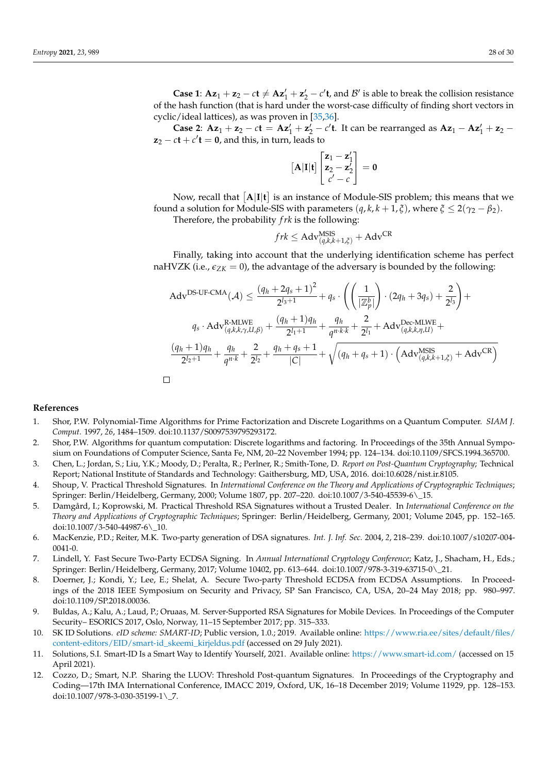**Case 1:**  $Az_1 + z_2 - ct \neq Az'_1 + z'_2 - c't$ , and  $B'$  is able to break the collision resistance of the hash function (that is hard under the worst-case difficulty of finding short vectors in cyclic/ideal lattices), as was proven in [\[35,](#page-29-1)[36\]](#page-29-8).

**Case 2:**  $Az_1 + z_2 - ct = Az'_1 + z'_2 - c't$ . It can be rearranged as  $Az_1 - Az'_1 + z_2$  $z_2 - ct + c'$ **t** = **0**, and this, in turn, leads to

$$
\begin{bmatrix} \mathbf{A}|\mathbf{I}|\mathbf{t} \end{bmatrix} \begin{bmatrix} \mathbf{z}_1 - \mathbf{z}_1' \\ \mathbf{z}_2 - \mathbf{z}_2' \\ c' - c \end{bmatrix} = \mathbf{0}
$$

Now, recall that  $\lceil A|I|t\rceil$  is an instance of Module-SIS problem; this means that we found a solution for Module-SIS with parameters  $(q, k, k + 1, \xi)$ , where  $\xi \leq 2(\gamma_2 - \beta_2)$ . Therefore, the probability *f rk* is the following:

$$
frk \leq Adv_{(q,k,k+1,\xi)}^{\text{MSIS}} + \text{Adv}^{\text{CR}}
$$

Finally, taking into account that the underlying identification scheme has perfect naHVZK (i.e.,  $\varepsilon_{ZK} = 0$ ), the advantage of the adversary is bounded by the following:

Adv<sup>DS-UF-CMA</sup>(
$$
\mathcal{A}
$$
)  $\leq \frac{(q_h + 2q_s + 1)^2}{2^{l_3+1}} + q_s \cdot \left( \left( \frac{1}{|\mathbb{Z}_p^b|} \right) \cdot (2q_h + 3q_s) + \frac{2}{2^{l_3}} \right) +$   
\n $q_s \cdot \text{Adv}_{(q,k,k,\gamma,U,\beta)}^{R-MLWE} + \frac{(q_h + 1)q_h}{2^{l_1+1}} + \frac{q_h}{q^{n \cdot k \cdot k}} + \frac{2}{2^{l_1}} + \text{Adv}_{(q,k,k,\eta,U)}^{Dec-MLWE} +$   
\n $\frac{(q_h + 1)q_h}{2^{l_2+1}} + \frac{q_h}{q^{n \cdot k}} + \frac{2}{2^{l_2}} + \frac{q_h + q_s + 1}{|C|} + \sqrt{(q_h + q_s + 1) \cdot \left( \text{Adv}_{(q,k,k+1,\xi)}^{MSIS} + \text{Adv}^{CR} \right)}$ 

### **References**

- <span id="page-27-0"></span>1. Shor, P.W. Polynomial-Time Algorithms for Prime Factorization and Discrete Logarithms on a Quantum Computer. *SIAM J. Comput.* 1997, *26*, 1484–1509. doi[:10.1137/S0097539795293172.](https://doi.org/10.1137/S0097539795293172)
- <span id="page-27-1"></span>2. Shor, P.W. Algorithms for quantum computation: Discrete logarithms and factoring. In Proceedings of the 35th Annual Symposium on Foundations of Computer Science, Santa Fe, NM, 20–22 November 1994; pp. 124–134. doi[:10.1109/SFCS.1994.365700.](https://doi.org/10.1109/SFCS.1994.365700)
- <span id="page-27-2"></span>3. Chen, L.; Jordan, S.; Liu, Y.K.; Moody, D.; Peralta, R.; Perlner, R.; Smith-Tone, D. *Report on Post-Quantum Cryptography*; Technical Report; National Institute of Standards and Technology: Gaithersburg, MD, USA, 2016. doi[:10.6028/nist.ir.8105.](https://doi.org/10.6028/nist.ir.8105)
- <span id="page-27-3"></span>4. Shoup, V. Practical Threshold Signatures. In *International Conference on the Theory and Applications of Cryptographic Techniques*; Springer: Berlin/Heidelberg, Germany, 2000; Volume 1807, pp. 207–220. doi[:10.1007/3-540-45539-6\\\_15.](https://doi.org/10.1007/3-540-45539-6_15)
- 5. Damgård, I.; Koprowski, M. Practical Threshold RSA Signatures without a Trusted Dealer. In *International Conference on the Theory and Applications of Cryptographic Techniques*; Springer: Berlin/Heidelberg, Germany, 2001; Volume 2045, pp. 152–165. doi[:10.1007/3-540-44987-6\\\_10.](https://doi.org/10.1007/3-540-44987-6_10)
- 6. MacKenzie, P.D.; Reiter, M.K. Two-party generation of DSA signatures. *Int. J. Inf. Sec.* 2004, *2*, 218–239. doi[:10.1007/s10207-004-](https://doi.org/10.1007/s10207-004-0041-0) [0041-0.](https://doi.org/10.1007/s10207-004-0041-0)
- <span id="page-27-9"></span>7. Lindell, Y. Fast Secure Two-Party ECDSA Signing. In *Annual International Cryptology Conference*; Katz, J., Shacham, H., Eds.; Springer: Berlin/Heidelberg, Germany, 2017; Volume 10402, pp. 613–644. doi[:10.1007/978-3-319-63715-0\\\_21.](https://doi.org/10.1007/978-3-319-63715-0_21)
- <span id="page-27-4"></span>8. Doerner, J.; Kondi, Y.; Lee, E.; Shelat, A. Secure Two-party Threshold ECDSA from ECDSA Assumptions. In Proceedings of the 2018 IEEE Symposium on Security and Privacy, SP San Francisco, CA, USA, 20–24 May 2018; pp. 980–997. doi[:10.1109/SP.2018.00036.](https://doi.org/10.1109/SP.2018.00036)
- <span id="page-27-5"></span>9. Buldas, A.; Kalu, A.; Laud, P.; Oruaas, M. Server-Supported RSA Signatures for Mobile Devices. In Proceedings of the Computer Security– ESORICS 2017, Oslo, Norway, 11–15 September 2017; pp. 315–333.
- <span id="page-27-6"></span>10. SK ID Solutions. *eID scheme: SMART-ID*; Public version, 1.0.; 2019. Available online: [https://www.ria.ee/sites/default/files/](https://www.ria.ee/sites/default/files/content-editors/EID/smart-id_skeemi_kirjeldus.pdf) [content-editors/EID/smart-id\\_skeemi\\_kirjeldus.pdf](https://www.ria.ee/sites/default/files/content-editors/EID/smart-id_skeemi_kirjeldus.pdf) (accessed on 29 July 2021).
- <span id="page-27-7"></span>11. Solutions, S.I. Smart-ID Is a Smart Way to Identify Yourself, 2021. Available online: <https://www.smart-id.com/> (accessed on 15 April 2021).
- <span id="page-27-8"></span>12. Cozzo, D.; Smart, N.P. Sharing the LUOV: Threshold Post-quantum Signatures. In Proceedings of the Cryptography and Coding—17th IMA International Conference, IMACC 2019, Oxford, UK, 16–18 December 2019; Volume 11929, pp. 128–153. doi[:10.1007/978-3-030-35199-1\\\_7.](https://doi.org/10.1007/978-3-030-35199-1_7)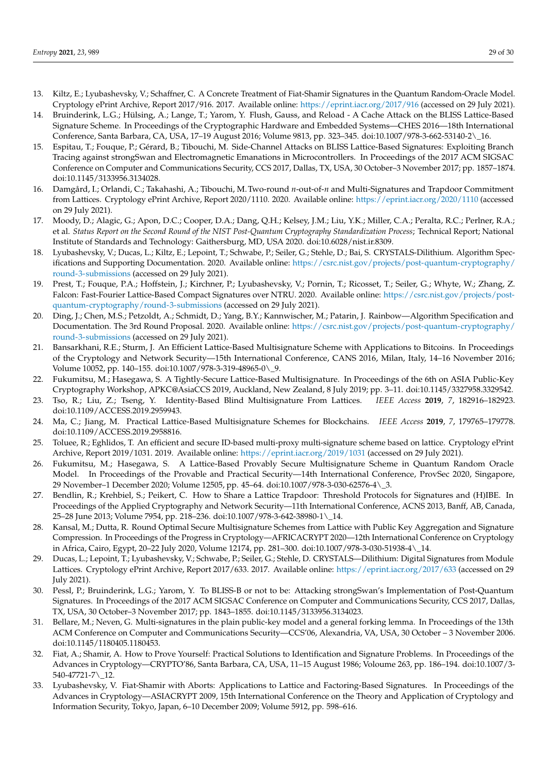- <span id="page-28-0"></span>13. Kiltz, E.; Lyubashevsky, V.; Schaffner, C. A Concrete Treatment of Fiat-Shamir Signatures in the Quantum Random-Oracle Model. Cryptology ePrint Archive, Report 2017/916. 2017. Available online: <https://eprint.iacr.org/2017/916> (accessed on 29 July 2021).
- <span id="page-28-1"></span>14. Bruinderink, L.G.; Hülsing, A.; Lange, T.; Yarom, Y. Flush, Gauss, and Reload - A Cache Attack on the BLISS Lattice-Based Signature Scheme. In Proceedings of the Cryptographic Hardware and Embedded Systems—CHES 2016—18th International Conference, Santa Barbara, CA, USA, 17–19 August 2016; Volume 9813, pp. 323–345. doi[:10.1007/978-3-662-53140-2\\\_16.](https://doi.org/10.1007/978-3-662-53140-2_16)
- <span id="page-28-2"></span>15. Espitau, T.; Fouque, P.; Gérard, B.; Tibouchi, M. Side-Channel Attacks on BLISS Lattice-Based Signatures: Exploiting Branch Tracing against strongSwan and Electromagnetic Emanations in Microcontrollers. In Proceedings of the 2017 ACM SIGSAC Conference on Computer and Communications Security, CCS 2017, Dallas, TX, USA, 30 October–3 November 2017; pp. 1857–1874. doi[:10.1145/3133956.3134028.](https://doi.org/10.1145/3133956.3134028)
- <span id="page-28-3"></span>16. Damgård, I.; Orlandi, C.; Takahashi, A.; Tibouchi, M.Two-round *n*-out-of-*n* and Multi-Signatures and Trapdoor Commitment from Lattices. Cryptology ePrint Archive, Report 2020/1110. 2020. Available online: <https://eprint.iacr.org/2020/1110> (accessed on 29 July 2021).
- <span id="page-28-4"></span>17. Moody, D.; Alagic, G.; Apon, D.C.; Cooper, D.A.; Dang, Q.H.; Kelsey, J.M.; Liu, Y.K.; Miller, C.A.; Peralta, R.C.; Perlner, R.A.; et al. *Status Report on the Second Round of the NIST Post-Quantum Cryptography Standardization Process*; Technical Report; National Institute of Standards and Technology: Gaithersburg, MD, USA 2020. doi[:10.6028/nist.ir.8309.](https://doi.org/10.6028/nist.ir.8309)
- <span id="page-28-5"></span>18. Lyubashevsky, V.; Ducas, L.; Kiltz, E.; Lepoint, T.; Schwabe, P.; Seiler, G.; Stehle, D.; Bai, S. CRYSTALS-Dilithium. Algorithm Specifications and Supporting Documentation. 2020. Available online: [https://csrc.nist.gov/projects/post-quantum-cryptography/](https://csrc.nist.gov/projects/post-quantum-cryptography/round-3-submissions) [round-3-submissions](https://csrc.nist.gov/projects/post-quantum-cryptography/round-3-submissions) (accessed on 29 July 2021).
- <span id="page-28-6"></span>19. Prest, T.; Fouque, P.A.; Hoffstein, J.; Kirchner, P.; Lyubashevsky, V.; Pornin, T.; Ricosset, T.; Seiler, G.; Whyte, W.; Zhang, Z. Falcon: Fast-Fourier Lattice-Based Compact Signatures over NTRU. 2020. Available online: [https://csrc.nist.gov/projects/post](https://csrc.nist.gov/projects/post-quantum-cryptography/round-3-submissions)[quantum-cryptography/round-3-submissions](https://csrc.nist.gov/projects/post-quantum-cryptography/round-3-submissions) (accessed on 29 July 2021).
- <span id="page-28-7"></span>20. Ding, J.; Chen, M.S.; Petzoldt, A.; Schmidt, D.; Yang, B.Y.; Kannwischer, M.; Patarin, J. Rainbow—Algorithm Specification and Documentation. The 3rd Round Proposal. 2020. Available online: [https://csrc.nist.gov/projects/post-quantum-cryptography/](https://csrc.nist.gov/projects/post-quantum-cryptography/round-3-submissions) [round-3-submissions](https://csrc.nist.gov/projects/post-quantum-cryptography/round-3-submissions) (accessed on 29 July 2021).
- <span id="page-28-8"></span>21. Bansarkhani, R.E.; Sturm, J. An Efficient Lattice-Based Multisignature Scheme with Applications to Bitcoins. In Proceedings of the Cryptology and Network Security—15th International Conference, CANS 2016, Milan, Italy, 14–16 November 2016; Volume 10052, pp. 140–155. doi[:10.1007/978-3-319-48965-0\\\_9.](https://doi.org/10.1007/978-3-319-48965-0_9)
- 22. Fukumitsu, M.; Hasegawa, S. A Tightly-Secure Lattice-Based Multisignature. In Proceedings of the 6th on ASIA Public-Key Cryptography Workshop, APKC@AsiaCCS 2019, Auckland, New Zealand, 8 July 2019; pp. 3–11. doi[:10.1145/3327958.3329542.](https://doi.org/10.1145/3327958.3329542)
- 23. Tso, R.; Liu, Z.; Tseng, Y. Identity-Based Blind Multisignature From Lattices. *IEEE Access* **2019**, *7*, 182916–182923. doi[:10.1109/ACCESS.2019.2959943.](https://doi.org/10.1109/ACCESS.2019.2959943)
- 24. Ma, C.; Jiang, M. Practical Lattice-Based Multisignature Schemes for Blockchains. *IEEE Access* **2019**, *7*, 179765–179778. doi[:10.1109/ACCESS.2019.2958816.](https://doi.org/10.1109/ACCESS.2019.2958816)
- <span id="page-28-10"></span>25. Toluee, R.; Eghlidos, T. An efficient and secure ID-based multi-proxy multi-signature scheme based on lattice. Cryptology ePrint Archive, Report 2019/1031. 2019. Available online: <https://eprint.iacr.org/2019/1031> (accessed on 29 July 2021).
- <span id="page-28-9"></span>26. Fukumitsu, M.; Hasegawa, S. A Lattice-Based Provably Secure Multisignature Scheme in Quantum Random Oracle Model. In Proceedings of the Provable and Practical Security—14th International Conference, ProvSec 2020, Singapore, 29 November–1 December 2020; Volume 12505, pp. 45–64. doi[:10.1007/978-3-030-62576-4\\\_3.](https://doi.org/10.1007/978-3-030-62576-4_3)
- <span id="page-28-11"></span>27. Bendlin, R.; Krehbiel, S.; Peikert, C. How to Share a Lattice Trapdoor: Threshold Protocols for Signatures and (H)IBE. In Proceedings of the Applied Cryptography and Network Security—11th International Conference, ACNS 2013, Banff, AB, Canada, 25–28 June 2013; Volume 7954, pp. 218–236. doi[:10.1007/978-3-642-38980-1\\\_14.](https://doi.org/10.1007/978-3-642-38980-1_14)
- <span id="page-28-12"></span>28. Kansal, M.; Dutta, R. Round Optimal Secure Multisignature Schemes from Lattice with Public Key Aggregation and Signature Compression. In Proceedings of the Progress in Cryptology—AFRICACRYPT 2020—12th International Conference on Cryptology in Africa, Cairo, Egypt, 20–22 July 2020, Volume 12174, pp. 281–300. doi[:10.1007/978-3-030-51938-4\\\_14.](https://doi.org/10.1007/978-3-030-51938-4_14)
- <span id="page-28-13"></span>29. Ducas, L.; Lepoint, T.; Lyubashevsky, V.; Schwabe, P.; Seiler, G.; Stehle, D. CRYSTALS—Dilithium: Digital Signatures from Module Lattices. Cryptology ePrint Archive, Report 2017/633. 2017. Available online: <https://eprint.iacr.org/2017/633> (accessed on 29 July 2021).
- <span id="page-28-14"></span>30. Pessl, P.; Bruinderink, L.G.; Yarom, Y. To BLISS-B or not to be: Attacking strongSwan's Implementation of Post-Quantum Signatures. In Proceedings of the 2017 ACM SIGSAC Conference on Computer and Communications Security, CCS 2017, Dallas, TX, USA, 30 October–3 November 2017; pp. 1843–1855. doi[:10.1145/3133956.3134023.](https://doi.org/10.1145/3133956.3134023)
- <span id="page-28-15"></span>31. Bellare, M.; Neven, G. Multi-signatures in the plain public-key model and a general forking lemma. In Proceedings of the 13th ACM Conference on Computer and Communications Security—CCS'06, Alexandria, VA, USA, 30 October – 3 November 2006. doi[:10.1145/1180405.1180453.](https://doi.org/10.1145/1180405.1180453)
- <span id="page-28-16"></span>32. Fiat, A.; Shamir, A. How to Prove Yourself: Practical Solutions to Identification and Signature Problems. In Proceedings of the Advances in Cryptology—CRYPTO'86, Santa Barbara, CA, USA, 11–15 August 1986; Voloume 263, pp. 186–194. doi[:10.1007/3-](https://doi.org/10.1007/3-540-47721-7_12) [540-47721-7\\\_12.](https://doi.org/10.1007/3-540-47721-7_12)
- <span id="page-28-17"></span>33. Lyubashevsky, V. Fiat-Shamir with Aborts: Applications to Lattice and Factoring-Based Signatures. In Proceedings of the Advances in Cryptology—ASIACRYPT 2009, 15th International Conference on the Theory and Application of Cryptology and Information Security, Tokyo, Japan, 6–10 December 2009; Volume 5912, pp. 598–616.